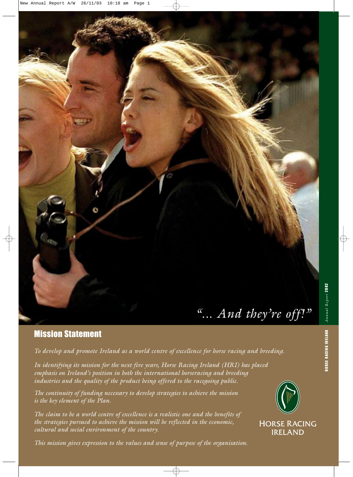

## Mission Statement

*To develop and promote Ireland as a world centre of excellence for horse racing and breeding.*

*In identifying its mission for the next five years, Horse Racing Ireland (HRI) has placed emphasis on Ireland's position in both the international horseracing and breeding industries and the quality of the product being offered to the racegoing public.* 

*The continuity of funding necessary to develop strategies to achieve the mission is the key element of the Plan.*

*The claim to be a world centre of excellence is a realistic one and the benefits of the strategies pursued to achieve the mission will be reflected in the economic, cultural and social environment of the country.*





**HORSE RACING IRELAND**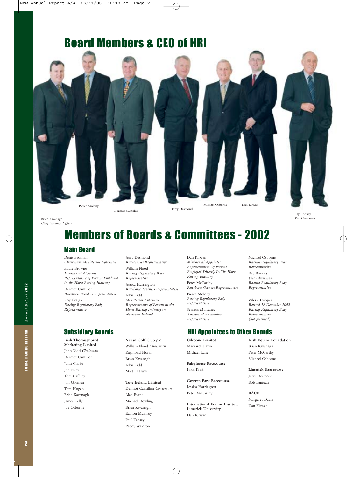## Board Members & CEO of HRI



Brian Kavanagh *Chief Executive Officer*

## Members of Boards & Committees - 2002

#### Main Board

Denis Brosnan *Chairman, Ministerial Appointee* Eddie Browne *Ministerial Appointee – Representative of Persons Employed in the Horse Racing Industry* Dermot Cantillon *Racehorse Breeders Representative* Roy Craigie *Racing Regulatory Body Representative*

**Irish Thoroughbred Marketing Limited** John Kidd *Chairman* Dermot Cantillon John Clarke Joe Foley Tom Gaffney Jim Gorman Tom Hogan Brian Kavanagh James Kelly Joe Osborne

Jerry Desmond *Racecourses Representative* William Flood *Racing Regulatory Body Representative* Jessica Harrington *Racehorse Trainers Representative* John Kidd *Ministerial Appointee – Representative of Persons in the Horse Racing Industry in Northern Ireland* 

**Navan Golf Club plc** William Flood *Chairman* Raymond Horan Brian Kavanagh John Kidd Matt O'Dwyer

#### **Tote Ireland Limited**

Dermot Cantillon *Chairman* Alan Byrne Michael Dowling Brian Kavanagh Eamon McElroy Paul Tansey Paddy Waldron

Dan Kirwan *Ministerial Appointee – Representative Of Persons Employed Directly In The Horse Racing Industry*  Peter McCarthy *Racehorse Owners Representative* Pierce Molony *Racing Regulatory Body Representative* Seamus Mulvaney *Authorised Bookmakers Representative*

#### Subsidiary Boards **NRI Appointees to Other Boards**

**Cilcoone Limited** Margaret Davin Michael Lane

**Fairyhouse Racecourse** John Kidd

**Gowran Park Racecourse** Jessica Harrington Peter McCarthy

**International Equine Institute, Limerick University** Dan Kirwan

Michael Osborne *Racing Regulatory Body Representative*  Ray Rooney *Vice-Chairman Racing Regulatory Body Representative*

*Vice-Chairman*

Valerie Cooper *Retired 18 December 2002 Racing Regulatory Body Representative (not pictured)*

**Irish Equine Foundation** Brian Kavanagh

Peter McCarthy Michael Osborne

**Limerick Racecourse** Jerry Desmond Bob Lanigan

**RACE** Margaret Davin Dan Kirwan

# Annual Report 2002 *Annual Report* 2002 **HORSE RACING IRELAND** HORSE RACING IRELAND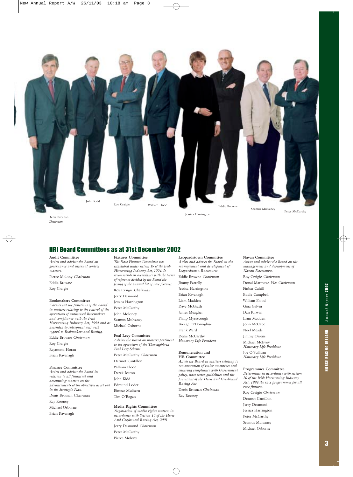

Denis Brosnan *Chairman*

#### HRI Board Committees as at 31st December 2002

**Audit Committee** *Assists and advises the Board on governance and internal control matters.*

Pierce Molony *Chairman* Eddie Browne Roy Craigie

#### **Bookmakers Committee**

*Carries out the functions of the Board in matters relating to the control of the operations of authorised Bookmakers and compliance with the Irish Horseracing Industry Act, 1994 and as amended by subsequent acts with regard to Bookmakers and Betting.* Eddie Browne *Chairman* Roy Craigie Raymond Horan Brian Kavanagh

#### **Finance Committee** *Assists and advises the Board in*

*relation to all financial and accounting matters on the advancements of the objectives as set out in the Strategic Plan.*  Denis Brosnan *Chairman* Ray Rooney Michael Osborne Brian Kavanagh

#### **Fixtures Committee**

*The Race Fixtures Committee was established under section 19 of the Irish Horseracing Industry Act, 1994. It recommends in accordance with the terms of reference decided by the Board the fixing of the annual list of race fixtures.* Roy Craigie *Chairman* Jerry Desmond Jessica Harrington Peter McCarthy John Moloney

Seamus Mulvaney Michael Osborne

#### **Foal Levy Committee**

*Advises the Board on matters pertinent to the operation of the Thoroughbred Foal Levy Scheme.* Peter McCarthy *Chairman* Dermot Cantillon William Flood Derek Iceton John Kidd Edmund Loder Eimear Mulhern

Tim O'Regan

#### **Media Rights Committee** *Negotiation of media rights matters in accordance with Section 10 of the Horse And Greyhound Racing Act, 2001.* Jerry Desmond *Chairman* Peter McCarthy Pierce Molony

**Leopardstown Committee** *Assists and advises the Board on the management and development of Leopardstown Racecourse.* Eddie Browne *Chairman* Jimmy Farrelly Jessica Harrington Brian Kavanagh Liam Madden Dave McGrath James Meagher Philip Myerscough Breege O'Donoghue Frank Ward Denis McCarthy *Honorary Life President*

#### **Remuneration and**

**HR Committee** *Assists the Board in matters relating to remuneration of senior executives and ensuring compliance with Government policy, state sector guidelines and the provisions of the Horse and Greyhound Racing Act.*

Denis Brosnan *Chairman* Ray Rooney

#### *Navan Racecourse.* Roy Craigie *Chairman* Donal Matthews *Vice-Chairman* Finbar Cahill Eddie Campbell William Flood Gina Galvin Dan Kirwan Liam Madden John McCabe Noel Meade Jimmy Owens Michael McEvoy

**Navan Committee**

*Assists and advises the Board on the management and development of*

*Honorary Life President* Joe O'Sullivan *Honorary Life President*

#### **Programmes Committee**

*Determines in accordance with section 20 of the Irish Horseracing Industry Act, 1994 the race programmes for all race fixtures.* Roy Craigie *Chairman* Dermot Cantillon

Jerry Desmond Jessica Harrington Peter McCarthy

Seamus Mulvaney Michael Osborne

 $Report$  2002 *Annual Report* 2002  $Annual$ **HORSE RACING IRELAND** HORSE RACING IRELAND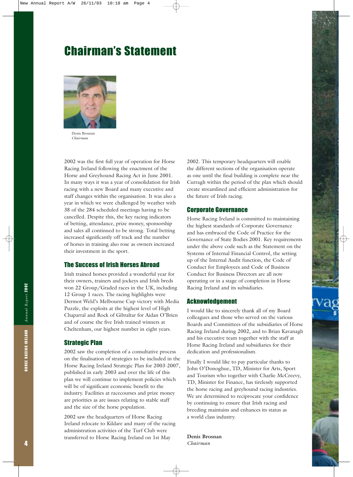## Chairman's Statement



Denis Brosnan *Chairman*

2002 was the first full year of operation for Horse Racing Ireland following the enactment of the Horse and Greyhound Racing Act in June 2001. In many ways it was a year of consolidation for Irish racing with a new Board and many executive and staff changes within the organisation. It was also a year in which we were challenged by weather with 38 of the 284 scheduled meetings having to be cancelled. Despite this, the key racing indicators of betting, attendance, prize money, sponsorship and sales all continued to be strong. Total betting increased significantly off track and the number of horses in training also rose as owners increased their investment in the sport.

#### The Success of Irish Horses Abroad

Irish trained horses provided a wonderful year for their owners, trainers and jockeys and Irish breds won 22 Group/Graded races in the UK, including 12 Group 1 races. The racing highlights were Dermot Weld's Melbourne Cup victory with Media Puzzle, the exploits at the highest level of High Chaparral and Rock of Gibraltar for Aidan O'Brien and of course the five Irish trained winners at Cheltenham, our highest number in eight years.

#### Strategic Plan

2002 saw the completion of a consultative process on the finalisation of strategies to be included in the Horse Racing Ireland Strategic Plan for 2003-2007, published in early 2003 and over the life of this plan we will continue to implement policies which will be of significant economic benefit to the industry. Facilities at racecourses and prize money are priorities as are issues relating to stable staff and the size of the horse population.

2002 saw the headquarters of Horse Racing Ireland relocate to Kildare and many of the racing administration activities of the Turf Club were transferred to Horse Racing Ireland on 1st May

2002. This temporary headquarters will enable the different sections of the organisation operate as one until the final building is complete near the Curragh within the period of the plan which should create streamlined and efficient administration for the future of Irish racing.

#### Corporate Governance

Horse Racing Ireland is committed to maintaining the highest standards of Corporate Governance and has embraced the Code of Practice for the Governance of State Bodies 2001. Key requirements under the above code such as the Statement on the Systems of Internal Financial Control, the setting up of the Internal Audit function, the Code of Conduct for Employees and Code of Business Conduct for Business Directors are all now operating or in a stage of completion in Horse Racing Ireland and its subsidiaries.

#### Acknowledgement

I would like to sincerely thank all of my Board colleagues and those who served on the various Boards and Committees of the subsidiaries of Horse Racing Ireland during 2002, and to Brian Kavanagh and his executive team together with the staff at Horse Racing Ireland and subsidiaries for their dedication and professionalism.

Finally I would like to pay particular thanks to John O'Donoghue, TD, Minister for Arts, Sport and Tourism who together with Charlie McCreevy, TD, Minister for Finance, has tirelessly supported the horse racing and greyhound racing industries. We are determined to reciprocate your confidence by continuing to ensure that Irish racing and breeding maintains and enhances its status as a world class industry.

**Denis Brosnan** *Chairman*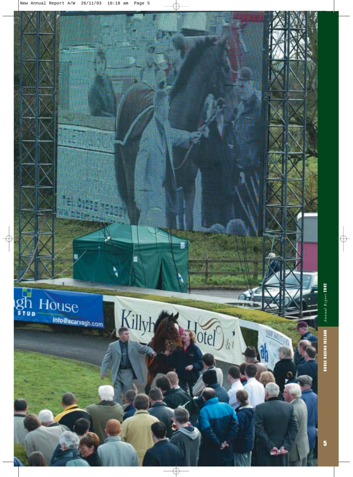$\bigoplus$ 



Annual Report 2002 *Annual Report* 2002 **HORSE RACING IRELAND** HORSE RACING IRELAND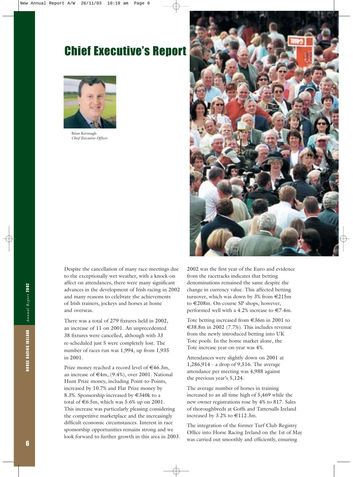## Chief Executive's Report



Brian Kavanagh *Chief Executive Officer*



Despite the cancellation of many race-meetings due to the exceptionally wet weather, with a knock-on affect on attendances, there were many significant advances in the development of Irish racing in 2002 and many reasons to celebrate the achievements of Irish trainers, jockeys and horses at home and overseas.

There was a total of 279 fixtures held in 2002, an increase of 11 on 2001. An unprecedented 38 fixtures were cancelled, although with 33 re-scheduled just 5 were completely lost. The number of races run was 1,994, up from 1,935 in 2001.

Prize money reached a record level of €46.3m, an increase of  $\in$ 4m, (9.4%), over 2001. National Hunt Prize money, including Point-to-Points, increased by 10.7% and Flat Prize money by 8.3%. Sponsorship increased by  $\in$  340k to a total of  $\epsilon$ 6.5m, which was 5.6% up on 2001. This increase was particularly pleasing considering the competitive marketplace and the increasingly difficult economic circumstances. Interest in race sponsorship opportunities remains strong and we look forward to further growth in this area in 2003. 2002 was the first year of the Euro and evidence from the racetracks indicates that betting denominations remained the same despite the change in currency value. This affected betting turnover, which was down by 3% from  $\text{\large\ensuremath{\in}} 215\text{m}$ to €208m. On-course SP shops, however, performed well with a 4.2% increase to  $\in 7.4$ m.

Tote betting increased from €36m in 2001 to €38.8m in 2002 (7.7%). This includes revenue from the newly introduced betting into UK Tote pools. In the home market alone, the Tote increase year-on-year was 4%.

Attendances were slightly down on 2001 at 1,286,914 - a drop of 9,516. The average attendance per meeting was 4,988 against the previous year's 5,124.

The average number of horses in training increased to an all time high of 5,469 while the new owner registrations rose by 4% to 817. Sales of thoroughbreds at Goffs and Tattersalls Ireland increased by 3.2% to €112.3m.

The integration of the former Turf Club Registry Office into Horse Racing Ireland on the 1st of May was carried out smoothly and efficiently, ensuring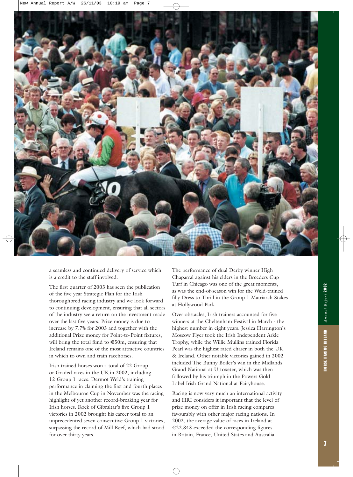

a seamless and continued delivery of service which is a credit to the staff involved.

The first quarter of 2003 has seen the publication of the five year Strategic Plan for the Irish thoroughbred racing industry and we look forward to continuing development, ensuring that all sectors of the industry see a return on the investment made over the last five years. Prize money is due to increase by 7.7% for 2003 and together with the additional Prize money for Point-to-Point fixtures, will bring the total fund to  $\epsilon$ 50m, ensuring that Ireland remains one of the most attractive countries in which to own and train racehorses.

Irish trained horses won a total of 22 Group or Graded races in the UK in 2002, including 12 Group 1 races. Dermot Weld's training performance in claiming the first and fourth places in the Melbourne Cup in November was the racing highlight of yet another record-breaking year for Irish horses. Rock of Gibraltar's five Group 1 victories in 2002 brought his career total to an unprecedented seven consecutive Group 1 victories, surpassing the record of Mill Reef, which had stood for over thirty years.

The performance of dual Derby winner High Chaparral against his elders in the Breeders Cup Turf in Chicago was one of the great moments, as was the end-of-season win for the Weld-trained filly Dress to Thrill in the Group 1 Matriarch Stakes at Hollywood Park.

Over obstacles, Irish trainers accounted for five winners at the Cheltenham Festival in March - the highest number in eight years. Jessica Harrington's Moscow Flyer took the Irish Independent Arkle Trophy, while the Willie Mullins trained Florida Pearl was the highest rated chaser in both the UK & Ireland. Other notable victories gained in 2002 included The Bunny Boiler's win in the Midlands Grand National at Uttoxeter, which was then followed by his triumph in the Powers Gold Label Irish Grand National at Fairyhouse.

Racing is now very much an international activity and HRI considers it important that the level of prize money on offer in Irish racing compares favourably with other major racing nations. In 2002, the average value of races in Ireland at  $\epsilon$ 22,843 exceeded the corresponding figures in Britain, France, United States and Australia.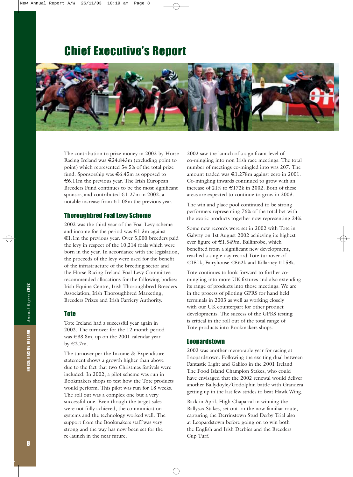## Chief Executive's Report



The contribution to prize money in 2002 by Horse Racing Ireland was  $\epsilon$ 24.843m (excluding point to point) which represented 54.5% of the total prize fund. Sponsorship was €6.45m as opposed to €6.11m the previous year. The Irish European Breeders Fund continues to be the most significant sponsor, and contributed  $\in$ 1.27m in 2002, a notable increase from €1.08m the previous year.

#### Thoroughbred Foal Levy Scheme

2002 was the third year of the Foal Levy scheme and income for the period was  $\in$ 1.3m against €1.1m the previous year. Over 5,000 breeders paid the levy in respect of the 10,214 foals which were born in the year. In accordance with the legislation, the proceeds of the levy were used for the benefit of the infrastructure of the breeding sector and the Horse Racing Ireland Foal Levy Committee recommended allocations for the following bodies: Irish Equine Centre, Irish Thoroughbred Breeders Association, Irish Thoroughbred Marketing, Breeders Prizes and Irish Farriery Authority.

#### **Tote**

Tote Ireland had a successful year again in 2002. The turnover for the 12 month period was €38.8m, up on the 2001 calendar year by €2.7m.

The turnover per the Income & Expenditure statement shows a growth higher than above due to the fact that two Christmas festivals were included. In 2002, a pilot scheme was run in Bookmakers shops to test how the Tote products would perform. This pilot was run for 18 weeks. The roll out was a complex one but a very successful one. Even though the target sales were not fully achieved, the communication systems and the technology worked well. The support from the Bookmakers staff was very strong and the way has now been set for the re-launch in the near future.

2002 saw the launch of a significant level of co-mingling into non Irish race meetings. The total number of meetings co-mingled into was 207. The amount traded was €1.278m against zero in 2001. Co-mingling inwards continued to grow with an increase of 21% to  $\text{E172k}$  in 2002. Both of these areas are expected to continue to grow in 2003.

The win and place pool continued to be strong performers representing 76% of the total bet with the exotic products together now representing 24%.

Some new records were set in 2002 with Tote in Galway on 1st August 2002 achieving its highest ever figure of €1.549m. Ballinrobe, which benefited from a significant new development, reached a single day record Tote turnover of €151k, Fairyhouse €562k and Killarney €153k.

Tote continues to look forward to further comingling into more UK fixtures and also extending its range of products into those meetings. We are in the process of piloting GPRS for hand held terminals in 2003 as well as working closely with our UK counterpart for other product developments. The success of the GPRS testing is critical in the roll out of the total range of Tote products into Bookmakers shops.

#### **Leopardstown**

2002 was another memorable year for racing at Leopardstown. Following the exciting dual between Fantastic Light and Galileo in the 2001 Ireland The Food Island Champion Stakes, who could have envisaged that the 2002 renewal would deliver another Ballydoyle/Godolphin battle with Grandera getting up in the last few strides to beat Hawk Wing.

Back in April, High Chaparral in winning the Ballysax Stakes, set out on the now familiar route, capturing the Derrinstown Stud Derby Trial also at Leopardstown before going on to win both the English and Irish Derbies and the Breeders Cup Turf.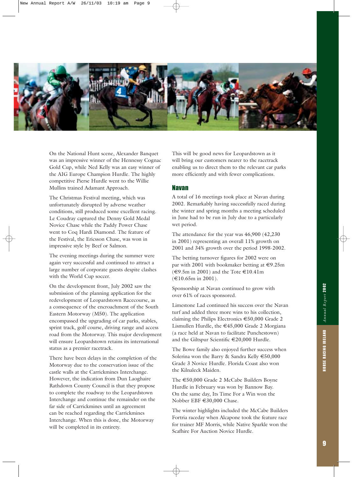

On the National Hunt scene, Alexander Banquet was an impressive winner of the Hennessy Cognac Gold Cup, while Ned Kelly was an easy winner of the AIG Europe Champion Hurdle. The highly competitive Pierse Hurdle went to the Willie Mullins trained Adamant Approach.

The Christmas Festival meeting, which was unfortunately disrupted by adverse weather conditions, still produced some excellent racing. Le Coudray captured the Denny Gold Medal Novice Chase while the Paddy Power Chase went to Coq Hardi Diamond. The feature of the Festival, the Ericsson Chase, was won in impressive style by Beef or Salmon.

The evening meetings during the summer were again very successful and continued to attract a large number of corporate guests despite clashes with the World Cup soccer.

On the development front, July 2002 saw the submission of the planning application for the redevelopment of Leopardstown Racecourse, as a consequence of the encroachment of the South Eastern Motorway (M50). The application encompassed the upgrading of car parks, stables, sprint track, golf course, driving range and access road from the Motorway. This major development will ensure Leopardstown retains its international status as a premier racetrack.

There have been delays in the completion of the Motorway due to the conservation issue of the castle walls at the Carrickmines Interchange. However, the indication from Dun Laoghaire Rathdown County Council is that they propose to complete the roadway to the Leopardstown Interchange and continue the remainder on the far side of Carrickmines until an agreement can be reached regarding the Carrickmines Interchange. When this is done, the Motorway will be completed in its entirety.

This will be good news for Leopardstown as it will bring our customers nearer to the racetrack enabling us to direct them to the relevant car parks more efficiently and with fewer complications.

#### Navan

A total of 16 meetings took place at Navan during 2002. Remarkably having successfully raced during the winter and spring months a meeting scheduled in June had to be run in July due to a particularly wet period.

The attendance for the year was 46,900 (42,230 in 2001) representing an overall 11% growth on 2001 and 34% growth over the period 1998-2002.

The betting turnover figures for 2002 were on par with 2001 with bookmaker betting at €9.25m  $(€9.5m in 2001)$  and the Tote €10.41m (€10.65m in 2001).

Sponsorship at Navan continued to grow with over 61% of races sponsored.

Limestone Lad continued his success over the Navan turf and added three more wins to his collection, claiming the Philips Electronics €50,000 Grade 2 Lismullen Hurdle, the €45,000 Grade 2 Morgiana (a race held at Navan to facilitate Punchestown) and the Giltspur Scientific €20,000 Hurdle.

The Bowe family also enjoyed further success when Solerina won the Barry & Sandra Kelly €50,000 Grade 3 Novice Hurdle. Florida Coast also won the Kilnaleck Maiden.

The €50,000 Grade 2 McCabe Builders Boyne Hurdle in February was won by Bannow Bay. On the same day, Its Time For a Win won the Nobber EBF €30,000 Chase.

The winter highlights included the McCabe Builders Fortria raceday when Alcapone took the feature race for trainer MF Morris, while Native Sparkle won the Scafhire For Auction Novice Hurdle.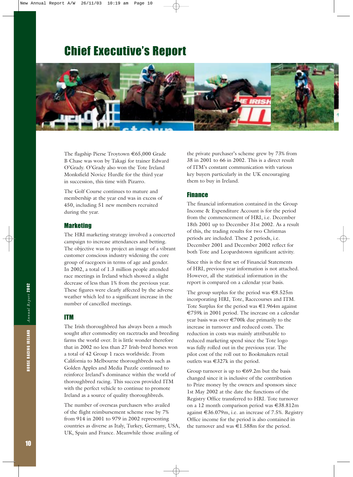## Chief Executive's Report



The flagship Pierse Troytown €65,000 Grade B Chase was won by Takagi for trainer Edward O'Grady. O'Grady also won the Tote Ireland Monksfield Novice Hurdle for the third year in succession, this time with Pizarro.

The Golf Course continues to mature and membership at the year end was in excess of 450, including 51 new members recruited during the year.

#### **Marketing**

The HRI marketing strategy involved a concerted campaign to increase attendances and betting. The objective was to project an image of a vibrant customer conscious industry widening the core group of racegoers in terms of age and gender. In 2002, a total of 1.3 million people attended race meetings in Ireland which showed a slight decrease of less than 1% from the previous year. These figures were clearly affected by the adverse weather which led to a significant increase in the number of cancelled meetings.

#### ITM

The Irish thoroughbred has always been a much sought after commodity on racetracks and breeding farms the world over. It is little wonder therefore that in 2002 no less than 27 Irish-bred horses won a total of 42 Group 1 races worldwide. From California to Melbourne thoroughbreds such as Golden Apples and Media Puzzle continued to reinforce Ireland's dominance within the world of thoroughbred racing. This success provided ITM with the perfect vehicle to continue to promote Ireland as a source of quality thoroughbreds.

The number of overseas purchasers who availed of the flight reimbursement scheme rose by 7% from 914 in 2001 to 979 in 2002 representing countries as diverse as Italy, Turkey, Germany, USA, UK, Spain and France. Meanwhile those availing of the private purchaser's scheme grew by 73% from 38 in 2001 to 66 in 2002. This is a direct result of ITM's constant communication with various key buyers particularly in the UK encouraging them to buy in Ireland.

#### **Finance**

The financial information contained in the Group Income & Expenditure Account is for the period from the commencement of HRI, i.e. December 18th 2001 up to December 31st 2002. As a result of this, the trading results for two Christmas periods are included. These 2 periods, i.e. December 2001 and December 2002 reflect for both Tote and Leopardstown significant activity.

Since this is the first set of Financial Statements of HRI, previous year information is not attached. However, all the statistical information in the report is compared on a calendar year basis.

The group surplus for the period was  $\epsilon$ 8.525m incorporating HRI, Tote, Racecourses and ITM. Tote Surplus for the period was €1.964m against €759k in 2001 period. The increase on a calendar year basis was over €700k due primarily to the increase in turnover and reduced costs. The reduction in costs was mainly attributable to reduced marketing spend since the Tote logo was fully rolled out in the previous year. The pilot cost of the roll out to Bookmakers retail outlets was €327k in the period.

Group turnover is up to  $\in 69.2$ m but the basis changed since it is inclusive of the contribution to Prize money by the owners and sponsors since 1st May 2002 at the date the functions of the Registry Office transferred to HRI. Tote turnover on a 12 month comparison period was €38.812m against €36.079m, i.e. an increase of 7.5%. Registry Office income for the period is also contained in the turnover and was  $\text{\large\ensuremath{\in}} 1.588$ m for the period.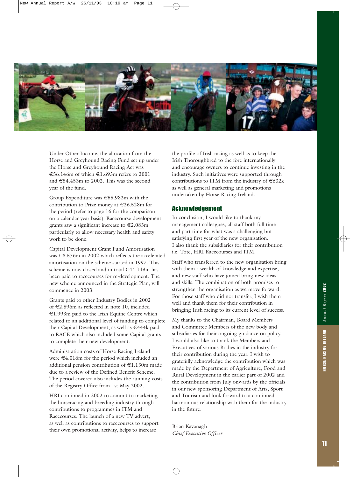

Under Other Income, the allocation from the Horse and Greyhound Racing Fund set up under the Horse and Greyhound Racing Act was €56.146m of which €1.693m refers to 2001 and €54.453m to 2002. This was the second year of the fund.

Group Expenditure was €55.982m with the contribution to Prize money at €26.528m for the period (refer to page 16 for the comparison on a calendar year basis). Racecourse development grants saw a significant increase to €2.083m particularly to allow necessary health and safety work to be done.

Capital Development Grant Fund Amortisation was €8.576m in 2002 which reflects the accelerated amortisation on the scheme started in 1997. This scheme is now closed and in total €44.143m has been paid to racecourses for re-development. The new scheme announced in the Strategic Plan, will commence in 2003.

Grants paid to other Industry Bodies in 2002 of €2.596m as reflected in note 10, included €1.993m paid to the Irish Equine Centre which related to an additional level of funding to complete their Capital Development, as well as €444k paid to RACE which also included some Capital grants to complete their new development.

Administration costs of Horse Racing Ireland were €4.016m for the period which included an additional pension contribution of €1.130m made due to a review of the Defined Benefit Scheme. The period covered also includes the running costs of the Registry Office from 1st May 2002.

HRI continued in 2002 to commit to marketing the horseracing and breeding industry through contributions to programmes in ITM and Racecourses. The launch of a new TV advert, as well as contributions to racecourses to support their own promotional activity, helps to increase

the profile of Irish racing as well as to keep the Irish Thoroughbred to the fore internationally and encourage owners to continue investing in the industry. Such initiatives were supported through contributions to ITM from the industry of  $\in 632k$ as well as general marketing and promotions undertaken by Horse Racing Ireland.

#### Acknowledgement

In conclusion, I would like to thank my management colleagues, all staff both full time and part time for what was a challenging but satisfying first year of the new organisation. I also thank the subsidiaries for their contribution i.e. Tote, HRI Racecourses and ITM.

Staff who transferred to the new organisation bring with them a wealth of knowledge and expertise, and new staff who have joined bring new ideas and skills. The combination of both promises to strengthen the organisation as we move forward. For those staff who did not transfer, I wish them well and thank them for their contribution in bringing Irish racing to its current level of success.

My thanks to the Chairman, Board Members and Committee Members of the new body and subsidiaries for their ongoing guidance on policy. I would also like to thank the Members and Executives of various Bodies in the industry for their contribution during the year. I wish to gratefully acknowledge the contribution which was made by the Department of Agriculture, Food and Rural Development in the earlier part of 2002 and the contribution from July onwards by the officials in our new sponsoring Department of Arts, Sport and Tourism and look forward to a continued harmonious relationship with them for the industry in the future.

Brian Kavanagh *Chief Executive Officer*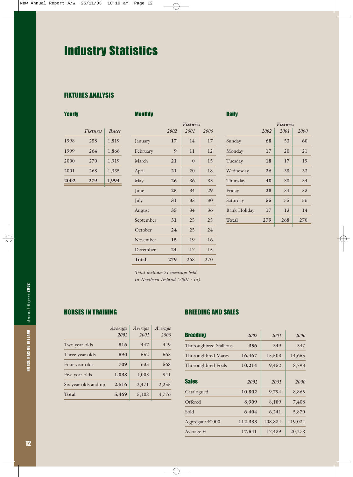## Industry Statistics

## FIXTURES ANALYSIS

#### **Yearly Daily Monthly Monthly Daily Daily**

|      | Fixtures | Races |
|------|----------|-------|
| 1998 | 258      | 1,819 |
| 1999 | 2.64     | 1,866 |
| 2000 | 2.70     | 1,919 |
| 2001 | 268      | 1,935 |
| 2002 | 279      | 1,994 |
|      |          |       |

|      |          |       |           |        | Fixtures     |        |                     |      | Fixtures   |      |
|------|----------|-------|-----------|--------|--------------|--------|---------------------|------|------------|------|
|      | Fixtures | Races |           | 2002   | 2001         | 2000   |                     | 2002 | 2001       | 2000 |
| 1998 | 258      | 1,819 | January   | $17\,$ | 14           | $17\,$ | Sunday              | 68   | 53         | 60   |
| 1999 | 264      | 1,866 | February  | 9      | 11           | 12     | Monday              | 17   | 20         | 21   |
| 2000 | 270      | 1,919 | March     | 21     | $\mathbf{0}$ | 15     | Tuesday             | 18   | $17\,$     | 19   |
| 2001 | 268      | 1,935 | April     | 21     | $20\,$       | 18     | Wednesday           | 36   | 38         | 33   |
| 2002 | 279      | 1,994 | May       | 26     | 36           | 33     | Thursday            | 40   | 38         | 34   |
|      |          |       | June      | 25     | 34           | 29     | Friday              | 28   | 34         | 33   |
|      |          |       | July      | 31     | 33           | 30     | Saturday            | 55   | ${\bf 55}$ | 56   |
|      |          |       | August    | 35     | 34           | 36     | <b>Bank Holiday</b> | 17   | 13         | 14   |
|      |          |       | September | 31     | $25\,$       | 25     | Total               | 279  | 268        | 270  |
|      |          |       | October   | 24     | $25\,$       | 24     |                     |      |            |      |
|      |          |       | November  | 15     | 19           | 16     |                     |      |            |      |
|      |          |       | December  | 24     | $17\,$       | $15\,$ |                     |      |            |      |
|      |          |       | Total     | 279    | 268          | 270    |                     |      |            |      |
|      |          |       |           |        |              |        |                     |      |            |      |

 $\bigoplus$ 

|           |      | Fixtures |      |              | Fixtures |      |      |  |  |  |
|-----------|------|----------|------|--------------|----------|------|------|--|--|--|
|           | 2002 | 2001     | 2000 |              | 2002     | 2001 | 2000 |  |  |  |
| January   | 17   | 14       | 17   | Sunday       | 68       | 53   | 60   |  |  |  |
| February  | 9    | 11       | 12   | Monday       | 17       | 20   | 21   |  |  |  |
| March     | 21   | $\Omega$ | 15   | Tuesday      | 18       | 17   | 19   |  |  |  |
| April     | 21   | 20       | 18   | Wednesday    | 36       | 38   | 33   |  |  |  |
| May       | 26   | 36       | 33   | Thursday     | 40       | 38   | 34   |  |  |  |
| June      | 25   | 34       | 29   | Friday       | 28       | 34   | 33   |  |  |  |
| July      | 31   | 33       | 30   | Saturday     | 55       | 55   | 56   |  |  |  |
| August    | 35   | 34       | 36   | Bank Holiday | 17       | 13   | 14   |  |  |  |
| September | 31   | 25       | 25   | Total        | 279      | 268  | 270  |  |  |  |
|           |      |          |      |              |          |      |      |  |  |  |

*Total includes 21 meetings held in Northern Ireland (2001 - 15).*

ŧ

### HORSES IN TRAINING

|                      | Average | Average | Average |
|----------------------|---------|---------|---------|
|                      | 2002    | 2001    | 2000    |
| Two year olds        | 516     | 447     | 449     |
| Three year olds      | 590     | 552     | 563     |
| Four year olds       | 709     | 635     | 568     |
| Five year olds       | 1,038   | 1,003   | 941     |
| Six year olds and up | 2,616   | 2,471   | 2,255   |
| Total                | 5,469   | 5,108   | 4,776   |

### BREEDING AND SALES

| <b>Breeding</b>               | 2002    | 2001    | 2000    |
|-------------------------------|---------|---------|---------|
| <b>Thoroughbred Stallions</b> | 356     | 349     | 347     |
| Thoroughbred Mares            | 16,467  | 15,503  | 14,655  |
| Thoroughbred Foals            | 10,214  | 9,452   | 8,793   |
| <b>Sales</b>                  | 2002    | 2001    | 2000    |
| Catalogued                    | 10,802  | 9,794   | 8,865   |
| Offered                       | 8,909   | 8,189   | 7,408   |
| Sold                          | 6,404   | 6,241   | 5,870   |
| Aggregate $\in$ '000          | 112,333 | 108,834 | 119,034 |
| Average $\in$                 | 17,541  | 17,439  | 20,278  |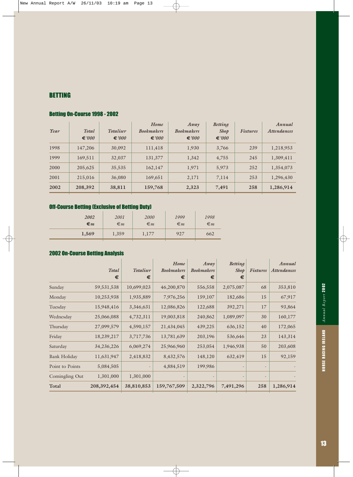## **BETTING**

### Betting On-Course 1998 - 2002

| Year | Total<br>$\epsilon$ '000 | Totaliser<br>$\epsilon$ '000 | Home<br><b>Bookmakers</b><br>$\epsilon$ '000 | Away<br><b>Bookmakers</b><br>$\epsilon$ '000 | Betting<br><b>Shop</b><br>$\epsilon$ '000 | Fixtures | Annual<br><i>Attendances</i> |
|------|--------------------------|------------------------------|----------------------------------------------|----------------------------------------------|-------------------------------------------|----------|------------------------------|
| 1998 | 147,206                  | 30,092                       | 111,418                                      | 1,930                                        | 3,766                                     | 239      | 1,218,953                    |
| 1999 | 169,511                  | 32,037                       | 131,377                                      | 1,342                                        | 4,755                                     | 245      | 1,309,411                    |
| 2000 | 205,625                  | 35,535                       | 162,147                                      | 1,971                                        | 5,973                                     | 252      | 1,354,073                    |
| 2001 | 215,016                  | 36,080                       | 169,651                                      | 2,171                                        | 7,114                                     | 253      | 1,296,430                    |
| 2002 | 208,392                  | 38,811                       | 159,768                                      | 2,323                                        | 7,491                                     | 258      | 1,286,914                    |

 $\overline{\varphi}$ 

## Off-Course Betting (Exclusive of Betting Duty)

| 2002         | 2001    | 2000    | 1999    | 1998    |
|--------------|---------|---------|---------|---------|
| $\epsilon_m$ | $\in$ m | $\in$ m | $\in$ m | $\in$ m |
| 1,569        | 1,359   | 1,177   | 927     | 662     |

### 2002 On-Course Betting Analysis

|                     | Total         | Totaliser  | Home<br><b>Bookmakers</b> | Away<br><b>Bookmakers</b> | <b>Betting</b><br><b>Shop</b> | Fixtures | Annual<br><b>Attendances</b> |
|---------------------|---------------|------------|---------------------------|---------------------------|-------------------------------|----------|------------------------------|
|                     | €             | €          | €                         | €                         | €                             |          |                              |
| Sunday              | 59, 531, 538  | 10,699,023 | 46,200,870                | 556,558                   | 2,075,087                     | 68       | 353,810                      |
| Monday              | 10,253,938    | 1,935,889  | 7,976,256                 | 159,107                   | 182,686                       | 15       | 67,917                       |
| Tuesday             | 15,948,416    | 3,346,631  | 12,086,826                | 122,688                   | 392,271                       | 17       | 93,864                       |
| Wednesday           | 25,066,088    | 4,732,311  | 19,003,818                | 240,862                   | 1,089,097                     | 30       | 160,177                      |
| Thursday            | 27,099,579    | 4,590,157  | 21,434,045                | 439,225                   | 636,152                       | 40       | 172,065                      |
| Friday              | 18,239,217    | 3,717,736  | 13,781,639                | 203,196                   | 536,646                       | 23       | 143,314                      |
| Saturday            | 34,236,226    | 6,069,274  | 25,966,960                | 253,054                   | 1,946,938                     | 50       | 203,608                      |
| <b>Bank Holiday</b> | 11,631,947    | 2,418,832  | 8,432,576                 | 148,120                   | 632,419                       | 15       | 92,159                       |
| Point to Points     | 5,084,505     |            | 4,884,519                 | 199,986                   |                               |          |                              |
| Comingling Out      | 1,301,000     | 1,301,000  |                           |                           |                               |          |                              |
| Total               | 208, 392, 454 | 38,810,853 | 159,767,509               | 2,322,796                 | 7,491,296                     | 258      | 1,286,914                    |

 $\overline{\bigoplus}$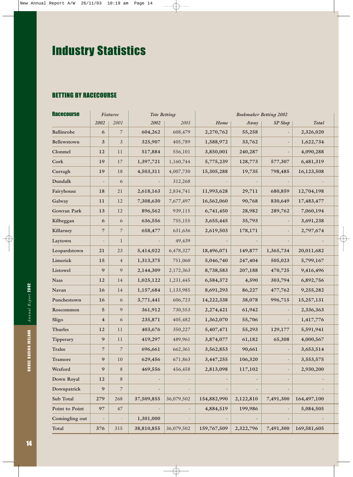## Industry Statistics

## BETTING BY RACECOURSE

| <b>Racecourse</b>  |                         | Fixtures       | Tote Betting |            | <b>Bookmaker Betting 2002</b> |           |                |              |  |  |
|--------------------|-------------------------|----------------|--------------|------------|-------------------------------|-----------|----------------|--------------|--|--|
|                    | 2002                    | 2001           | 2002         | 2001       | Home                          | Away      | <b>SP</b> Shop | <b>Total</b> |  |  |
| Ballinrobe         | 6                       | 7              | 604,262      | 608,479    | 2,270,762                     | 55,258    |                | 2,326,020    |  |  |
| Bellewstown        | 3                       | $\overline{3}$ | 325,907      | 405,789    | 1,588,972                     | 33,762    |                | 1,622,734    |  |  |
| Clonmel            | 12                      | 11             | 517,884      | 556,101    | 3,850,001                     | 240,287   |                | 4,090,288    |  |  |
| Cork               | 19                      | 17             | 1,397,721    | 1,160,744  | 5,775,239                     | 128,773   | 577,307        | 6,481,319    |  |  |
| Curragh            | 19                      | 18             | 4,503,311    | 4,007,730  | 15,305,288                    | 19,735    | 798,485        | 16,123,508   |  |  |
| Dundalk            |                         | 6              |              | 312,268    |                               |           |                |              |  |  |
| Fairyhouse         | 18                      | 21             | 2,618,163    | 2,834,741  | 11,993,628                    | 29,711    | 680,859        | 12,704,198   |  |  |
| Galway             | 11                      | 12             | 7,308,630    | 7,677,497  | 16,562,060                    | 90,768    | 830,649        | 17,483,477   |  |  |
| <b>Gowran Park</b> | 13                      | $12\,$         | 896,562      | 939,115    | 6,741,450                     | 28,982    | 289,762        | 7,060,194    |  |  |
| Kilbeggan          | 6                       | 6              | 636,556      | 755,155    | 3,655,445                     | 35,793    |                | 3,691,238    |  |  |
| Killarney          | 7                       | 7              | 658,477      | 631,636    | 2,619,503                     | 178,171   |                | 2,797,674    |  |  |
| Laytown            | $\qquad \qquad -$       | $\mathbf{1}$   |              | 49,439     |                               |           |                |              |  |  |
| Leopardstown       | 21                      | 23             | 5,414,022    | 6,478,327  | 18,496,071                    | 149,877   | 1,365,734      | 20,011,682   |  |  |
| Limerick           | 15                      | $\overline{4}$ | 1,313,375    | 751,060    | 5,046,740                     | 247,404   | 505,023        | 5,799,167    |  |  |
| Listowel           | 9                       | 9              | 2,144,309    | 2,172,363  | 8,738,583                     | 207,188   | 470,725        | 9,416,496    |  |  |
| <b>Naas</b>        | 12                      | 14             | 1,025,122    | 1,231,445  | 6,584,372                     | 4,590     | 303,794        | 6,892,756    |  |  |
| <b>Navan</b>       | 16                      | 14             | 1,157,684    | 1,133,985  | 8,691,293                     | 86,227    | 477,762        | 9,255,282    |  |  |
| Punchestown        | 16                      | 6              | 3,771,441    | 606,723    | 14,222,338                    | 38,078    | 996,715        | 15,257,131   |  |  |
| Roscommon          | 5                       | 9              | 361,912      | 730,553    | 2,274,421                     | 61,942    |                | 2,336,363    |  |  |
| Sligo              | $\overline{\mathbf{4}}$ | 6              | 235,871      | 405,482    | 1,362,070                     | 55,706    |                | 1,417,776    |  |  |
| <b>Thurles</b>     | 12                      | 11             | 403,676      | 350,227    | 5,407,471                     | 55,293    | 129,177        | 5,591,941    |  |  |
| Tipperary          | 9                       | 11             | 419,297      | 489,961    | 3,874,077                     | 61,182    | 65,308         | 4,000,567    |  |  |
| Tralee             | $\overline{7}$          | $\overline{7}$ | 696,661      | 662,361    | 3,562,853                     | 90,661    |                | 3,653,514    |  |  |
| Tramore            | 9                       | $10\,$         | 629,456      | 671,863    | 3,447,255                     | 106,320   |                | 3,553,575    |  |  |
| Wexford            | 9                       | $\,8\,$        | 469,556      | 456,458    | 2,813,098                     | 117,102   |                | 2,930,200    |  |  |
| Down Royal         | 12                      | $\, 8$         |              |            |                               |           |                |              |  |  |
| Downpatrick        | 9                       | 7              |              |            |                               |           |                |              |  |  |
| Sub Total          | 279                     | 268            | 37,509,855   | 36,079,502 | 154,882,990                   | 2,122,810 | 7,491,300      | 164,497,100  |  |  |
| Point to Point     | 97                      | $47\,$         |              |            | 4,884,519                     | 199,986   |                | 5,084,505    |  |  |
| Comingling out     |                         | $\overline{a}$ | 1,301,000    |            |                               |           |                |              |  |  |
| Total              | 376                     | 315            | 38,810,855   | 36,079,502 | 159,767,509                   | 2,322,796 | 7,491,300      | 169,581,605  |  |  |

 $\overline{\bigoplus}$ 

 $\overline{\bigoplus}$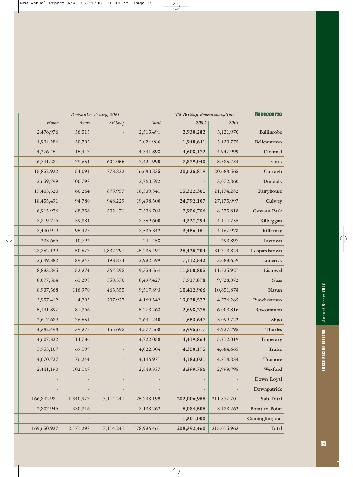| <b>Racecourse</b> |                          | <b>Ttl Betting Bookmakers/Tote</b> |              | Bookmaker Betting 2001       |           |             |  |
|-------------------|--------------------------|------------------------------------|--------------|------------------------------|-----------|-------------|--|
|                   | 2001                     | 2002                               | Total        | SP Shop                      | Away      | Home        |  |
| <b>Ballinrobe</b> | 3,121,970                | 2,930,282                          | 2,513,491    |                              | 36,515    | 2,476,976   |  |
| Bellewstown       | 2,430,775                | 1,948,641                          | 2,024,986    |                              | 30,702    | 1,994,284   |  |
| Clonmel           | 4,947,999                | 4,608,172                          | 4,391,898    |                              | 115,447   | 4,276,451   |  |
| Cork              | 8,585,734                | 7,879,040                          | 7,424,990    | 604,055                      | 79,654    | 6,741,281   |  |
| Curragh           | 20,688,565               | 20,626,819                         | 16,680,835   | 773,822                      | 54,091    | 15,852,922  |  |
| Dundalk           | 3,072,860                |                                    | 2,760,592    |                              | 100,793   | 2,659,799   |  |
| Fairyhouse        | 21,174,282               | 15,322,361                         | 18,339,541   | 875,957                      | 60,264    | 17,403,320  |  |
| Galway            | 27,175,997               | 24,792,107                         | 19,498,500   | 948,229                      | 94,780    | 18,455,491  |  |
| Gowran Park       | 8,275,818                | 7,956,756                          | 7,336,703    | 332,471                      | 88,256    | 6,915,976   |  |
| Kilbeggan         | 4,114,755                | 4,327,794                          | 3,359,600    |                              | 39,884    | 3,319,716   |  |
| Killarney         | 4,167,978                | 3,456,151                          | 3,536,342    |                              | 95,423    | 3,440,919   |  |
| Laytown           | 293,897                  |                                    | 244,458      |                              | 10,792    | 233,666     |  |
| Leopardstown      | 31,713,824               | 25,425,704                         | 25, 235, 497 | 1,832,791                    | 50,577    | 23,352,129  |  |
| Limerick          | 3,683,659                | 7,112,542                          | 2,932,599    | 193,874                      | 89,343    | 2,649,382   |  |
| Listowel          | 11,525,927               | 11,560,805                         | 9,353,564    | 367,295                      | 152,374   | 8,833,895   |  |
| <b>Naas</b>       | 9,728,872                | 7,917,878                          | 8,497,427    | 358,570                      | 61,293    | 8,077,564   |  |
| Navan             | 10,651,878               | 10,412,966                         | 9,517,893    | 463,555                      | 116,970   | 8,937,368   |  |
| Punchestown       | 4,776,265                | 19,028,572                         | 4,169,542    | 207,927                      | 4,203     | 3,957,412   |  |
| Roscommon         | 6,003,816                | 2,698,275                          | 5,273,263    |                              | 81,366    | 5,191,897   |  |
| Sligo             | 3,099,722                | 1,653,647                          | 2,694,240    |                              | 76,551    | 2,617,689   |  |
| Thurles           | 4,927,795                | 5,995,617                          | 4,577,568    | 155,695                      | 39,375    | 4,382,498   |  |
| Tipperary         | 5,212,019                | 4,419,864                          | 4,722,058    |                              | 114,736   | 4,607,322   |  |
| Tralee            | 4,684,665                | 4,350,175                          | 4,022,304    |                              | 69,197    | 3,953,107   |  |
| Tramore           | 4,818,834                | 4,183,031                          | 4,146,971    | $\frac{1}{2}$                | 76,244    | 4,070,727   |  |
| Wexford           | 2,999,795                | 3,399,756                          | 2,543,337    | $\qquad \qquad \blacksquare$ | 102,147   | 2,441,190   |  |
| Down Royal        | $\overline{\phantom{a}}$ |                                    |              | $\frac{1}{2}$                |           |             |  |
| Downpatrick       |                          |                                    |              | $\qquad \qquad -$            |           |             |  |
| Sub Total         | 211,877,701              | 202,006,955                        | 175,798,199  | 7,114,241                    | 1,840,977 | 166,842,981 |  |
| Point to Point    | 3,138,262                | 5,084,505                          | 3,138,262    |                              | 330,316   | 2,807,946   |  |
| Comingling out    |                          | 1,301,000                          |              |                              |           |             |  |
| Total             | 215,015,963              | 208,392,460                        | 178,936,461  | 7,114,241                    | 2,171,293 | 169,650,927 |  |

 $\overline{\bigoplus}$ 

 $\overline{\varphi}$ 

15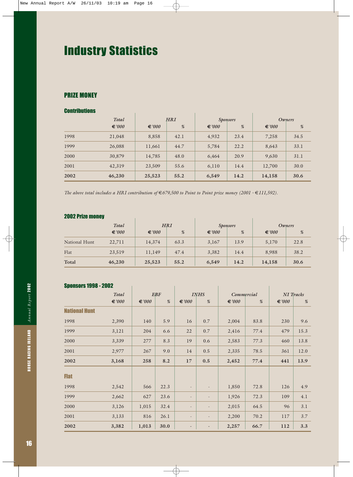## Industry Statistics

### PRIZE MONEY

#### **Contributions**

|      | Total           |                 | <b>HRI</b> |                 | <i>Sponsors</i> | Owners          |      |  |
|------|-----------------|-----------------|------------|-----------------|-----------------|-----------------|------|--|
|      | $\epsilon$ '000 | $\epsilon$ '000 | %          | $\epsilon$ '000 | %               | $\epsilon$ '000 | %    |  |
| 1998 | 21,048          | 8,858           | 42.1       | 4,932           | 23.4            | 7,258           | 34.5 |  |
| 1999 | 26,088          | 11,661          | 44.7       | 5,784           | 22.2            | 8,643           | 33.1 |  |
| 2000 | 30,879          | 14,785          | 48.0       | 6,464           | 20.9            | 9,630           | 31.1 |  |
| 2001 | 42,319          | 23,509          | 55.6       | 6,110           | 14.4            | 12,700          | 30.0 |  |
| 2002 | 46,230          | 25,523          | 55.2       | 6,549           | 14.2            | 14,158          | 30.6 |  |

 $\bigoplus$ 

*The above total includes a HRI contribution of* €*679,500 to Point to Point prize money (2001 -* €*111,592)*.

#### 2002 Prize money

|               | <b>Total</b>    | <b>HRI</b>      |      |                 | <i>Sponsors</i> | Owners          |      |  |
|---------------|-----------------|-----------------|------|-----------------|-----------------|-----------------|------|--|
|               | $\epsilon$ '000 | $\epsilon$ '000 | %    | $\epsilon$ '000 | %               | $\epsilon$ '000 | %    |  |
| National Hunt | 22,711          | 14,374          | 63.3 | 3,167           | 13.9            | 5,170           | 22.8 |  |
| Flat          | 23,519          | 11,149          | 47.4 | 3,382           | 14.4            | 8,988           | 38.2 |  |
| Total         | 46,230          | 25,523          | 55.2 | 6,549           | 14.2            | 14,158          | 30.6 |  |

#### Sponsors 1998 - 2002

|                      | <b>EBF</b><br><b>Total</b> |                 | <b>INHS</b> |                          | Commercial               |                 | <b>NI</b> Tracks |                 |                              |
|----------------------|----------------------------|-----------------|-------------|--------------------------|--------------------------|-----------------|------------------|-----------------|------------------------------|
|                      | € '000                     | $\epsilon$ '000 | %           | $\epsilon$ '000          | %                        | $\epsilon$ '000 | %                | $\epsilon$ '000 | $% \mathcal{A}_{\mathrm{c}}$ |
| <b>National Hunt</b> |                            |                 |             |                          |                          |                 |                  |                 |                              |
| 1998                 | 2,390                      | 140             | 5.9         | 16                       | 0.7                      | 2,004           | 83.8             | 230             | 9.6                          |
| 1999                 | 3,121                      | 204             | 6.6         | 22                       | 0.7                      | 2,416           | 77.4             | 479             | 15.3                         |
| 2000                 | 3,339                      | 277             | 8.3         | 19                       | 0.6                      | 2,583           | 77.3             | 460             | 13.8                         |
| 2001                 | 2,977                      | 267             | 9.0         | 14                       | 0.5                      | 2,335           | 78.5             | 361             | 12.0                         |
| 2002                 | 3,168                      | 258             | 8.2         | 17                       | 0.5                      | 2,452           | 77.4             | 441             | 13.9                         |
| <b>Flat</b>          |                            |                 |             |                          |                          |                 |                  |                 |                              |
| 1998                 | 2,542                      | 566             | 22.3        | $\overline{\phantom{a}}$ |                          | 1,850           | 72.8             | 126             | 4.9                          |
| 1999                 | 2,662                      | 627             | 23.6        | $\overline{\phantom{a}}$ |                          | 1,926           | 72.3             | 109             | 4.1                          |
| 2000                 | 3,126                      | 1,015           | 32.4        | $\overline{\phantom{a}}$ |                          | 2,015           | 64.5             | 96              | 3.1                          |
| 2001                 | 3,133                      | 816             | 26.1        | $\overline{\phantom{a}}$ | $\overline{\phantom{a}}$ | 2,200           | 70.2             | 117             | 3.7                          |
| 2002                 | 3,382                      | 1,013           | 30.0        | -                        |                          | 2,257           | 66.7             | 112             | 3.3                          |

⊕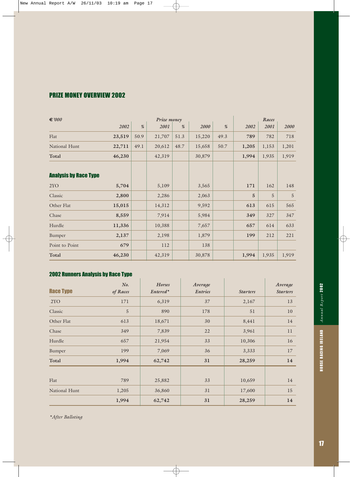## PRIZE MONEY OVERVIEW 2002

| € '000                       |        |      | Prize money |      |        |                                       |       | Races |             |
|------------------------------|--------|------|-------------|------|--------|---------------------------------------|-------|-------|-------------|
|                              | 2002   | $\%$ | 2001        | %    | 2000   | $% \mathcal{A}=\mathcal{A}^{\prime }$ | 2002  | 2001  | 2000        |
| Flat                         | 23,519 | 50.9 | 21,707      | 51.3 | 15,220 | 49.3                                  | 789   | 782   | 718         |
| National Hunt                | 22,711 | 49.1 | 20,612      | 48.7 | 15,658 | 50.7                                  | 1,205 | 1,153 | 1,201       |
| Total                        | 46,230 |      | 42,319      |      | 30,879 |                                       | 1,994 | 1,935 | 1,919       |
| <b>Analysis by Race Type</b> |        |      |             |      |        |                                       |       |       |             |
| 2 <sub>YO</sub>              | 5,704  |      | 5,109       |      | 3,565  |                                       | 171   | 162   | 148         |
| Classic                      | 2,800  |      | 2,286       |      | 2,063  |                                       | 5     | 5     | $\mathbf 5$ |
| Other Flat                   | 15,015 |      | 14,312      |      | 9,592  |                                       | 613   | 615   | 565         |
| Chase                        | 8,559  |      | 7,914       |      | 5,984  |                                       | 349   | 327   | 347         |
| Hurdle                       | 11,336 |      | 10,388      |      | 7,657  |                                       | 657   | 614   | 633         |
| Bumper                       | 2,137  |      | 2,198       |      | 1,879  |                                       | 199   | 212   | 221         |
| Point to Point               | 679    |      | 112         |      | 138    |                                       |       |       |             |
| Total                        | 46,230 |      | 42,319      |      | 30,878 |                                       | 1,994 | 1,935 | 1,919       |

 $\overline{\bigoplus}$ 

## 2002 Runners Analysis by Race Type

| <b>Race Type</b> | No.<br>of Races | Horses<br>Entered* | Average<br>Entries | <b>Starters</b> | Average<br><b>Starters</b> |
|------------------|-----------------|--------------------|--------------------|-----------------|----------------------------|
| 2 <sub>YO</sub>  | 171             | 6,319              | 37                 | 2,167           | $13\,$                     |
| Classic          | $\mathbf 5$     | 890                | 178                | 51              | $10\,$                     |
| Other Flat       | 613             | 18,671             | 30                 | 8,441           | $14\,$                     |
| Chase            | 349             | 7,839              | 22                 | 3,961           | 11                         |
| Hurdle           | 657             | 21,954             | 33                 | 10,306          | 16                         |
| Bumper           | 199             | 7,069              | 36                 | 3,333           | 17                         |
| Total            | 1,994           | 62,742             | 31                 | 28,259          | 14                         |
| Flat             | 789             | 25,882             | 33                 | 10,659          | 14                         |
| National Hunt    | 1,205           | 36,860             | 31                 | 17,600          | $15\,$                     |
|                  | 1,994           | 62,742             | 31                 | 28,259          | 14                         |

 $\overline{\bigoplus}$ 

*\*After Balloting*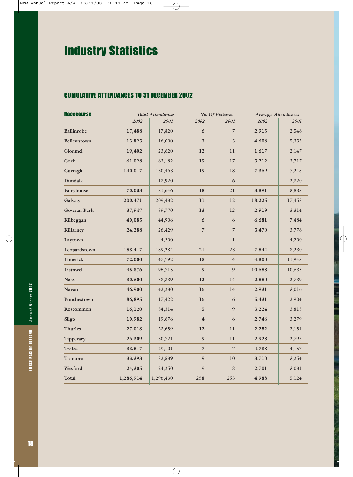## Industry Statistics

## CUMULATIVE ATTENDANCES TO 31 DECEMBER 2002

| <b>Racecourse</b>  |           | <b>Total Attendances</b> |                         | No. Of Fixtures  |        | Average Attendances |  |
|--------------------|-----------|--------------------------|-------------------------|------------------|--------|---------------------|--|
|                    | 2002      | 2001                     | 2002                    | 2001             | 2002   | 2001                |  |
| <b>Ballinrobe</b>  | 17,488    | 17,820                   | 6                       | 7                | 2,915  | 2,546               |  |
| Bellewstown        | 13,823    | 16,000                   | $\overline{\mathbf{3}}$ | $\mathfrak{Z}$   | 4,608  | 5,333               |  |
| Clonmel            | 19,402    | 23,620                   | 12                      | 11               | 1,617  | 2,147               |  |
| Cork               | 61,028    | 63,182                   | 19                      | 17               | 3,212  | 3,717               |  |
| Curragh            | 140,017   | 130,463                  | 19                      | 18               | 7,369  | 7,248               |  |
| Dundalk            |           | 13,920                   |                         | 6                |        | 2,320               |  |
| Fairyhouse         | 70,033    | 81,646                   | 18                      | 21               | 3,891  | 3,888               |  |
| Galway             | 200,471   | 209,432                  | 11                      | 12               | 18,225 | 17,453              |  |
| <b>Gowran Park</b> | 37,947    | 39,770                   | 13                      | 12               | 2,919  | 3,314               |  |
| Kilbeggan          | 40,085    | 44,906                   | 6                       | 6                | 6,681  | 7,484               |  |
| Killarney          | 24,288    | 26,429                   | $\overline{7}$          | $\boldsymbol{7}$ | 3,470  | 3,776               |  |
| Laytown            |           | 4,200                    |                         | $\bf{l}$         |        | 4,200               |  |
| Leopardstown       | 158,417   | 189,284                  | 21                      | 23               | 7,544  | 8,230               |  |
| Limerick           | 72,000    | 47,792                   | 15                      | $\overline{4}$   | 4,800  | 11,948              |  |
| Listowel           | 95,876    | 95,715                   | 9                       | 9                | 10,653 | 10,635              |  |
| <b>Naas</b>        | 30,600    | 38,339                   | 12                      | 14               | 2,550  | 2,739               |  |
| Navan              | 46,900    | 42,230                   | 16                      | 14               | 2,931  | 3,016               |  |
| Punchestown        | 86,895    | 17,422                   | 16                      | 6                | 5,431  | 2,904               |  |
| Roscommon          | 16,120    | 34,314                   | $\overline{5}$          | 9                | 3,224  | 3,813               |  |
| Sligo              | 10,982    | 19,676                   | $\overline{\mathbf{4}}$ | 6                | 2,746  | 3,279               |  |
| <b>Thurles</b>     | 27,018    | 23,659                   | 12                      | 11               | 2,252  | 2,151               |  |
| Tipperary          | 26,309    | 30,721                   | 9                       | 11               | 2,923  | 2,793               |  |
| Tralee             | 33,517    | 29,101                   | 7                       | 7                | 4,788  | 4,157               |  |
| <b>Tramore</b>     | 33,393    | 32,539                   | 9                       | 10               | 3,710  | 3,254               |  |
| Wexford            | 24,305    | 24,250                   | 9                       | $8\,$            | 2,701  | 3,031               |  |
| Total              | 1,286,914 | 1,296,430                | 258                     | 253              | 4,988  | 5,124               |  |

 $\overline{\bigoplus}$ 

 $\bigoplus$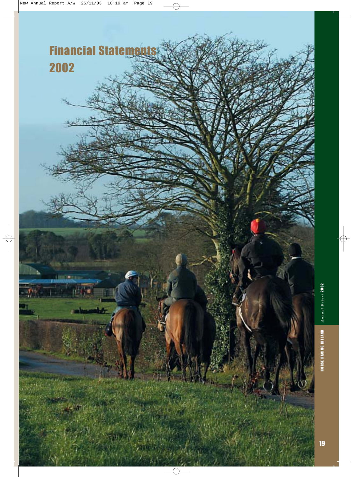## **Financial Statem** 2002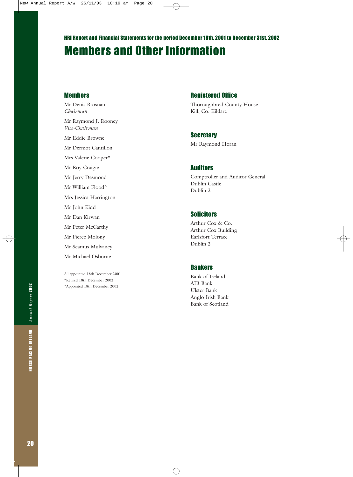Members and Other Information HRI Report and Financial Statements for the period December 18th, 2001 to December 31st, 2002

## Members

Mr Denis Brosnan *Chairman*

Mr Raymond J. Rooney *Vice-Chairman*

Mr Eddie Browne

Mr Dermot Cantillon

Mrs Valerie Cooper\*

Mr Roy Craigie

Mr Jerry Desmond

Mr William Flood<sup>^</sup>

Mrs Jessica Harrington

Mr John Kidd

Mr Dan Kirwan

Mr Peter McCarthy

Mr Pierce Molony

Mr Seamus Mulvaney

Mr Michael Osborne

All appointed 18th December 2001 \*Retired 18th December 2002 ^Appointed 18th December 2002

#### Registered Office

Thoroughbred County House Kill, Co. Kildare

#### **Secretary**

Mr Raymond Horan

#### **Auditors**

Comptroller and Auditor General Dublin Castle Dublin 2

## **Solicitors**

Arthur Cox & Co. Arthur Cox Building Earlsfort Terrace Dublin 2

#### **Bankers**

Æ

Bank of Ireland AIB Bank Ulster Bank Anglo Irish Bank Bank of Scotland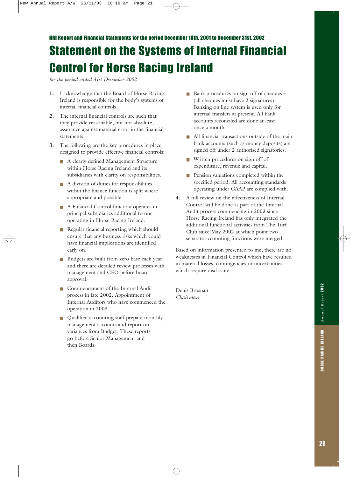## Statement on the Systems of Internal Financial Control for Horse Racing Ireland

*for the period ended 31st December 2002*

- **1.** I acknowledge that the Board of Horse Racing Ireland is responsible for the body's systems of internal financial controls.
- **2.** The internal financial controls are such that they provide reasonable, but not absolute, assurance against material error in the financial statements.
- **3.** The following are the key procedures in place designed to provide effective financial controls:
	- A clearly defined Management Structure within Horse Racing Ireland and its subsidiaries with clarity on responsibilities.
	- A division of duties for responsibilities within the finance function is split where appropriate and possible.
	- A Financial Control function operates in principal subsidiaries additional to one operating in Horse Racing Ireland.
	- Regular financial reporting which should ensure that any business risks which could have financial implications are identified early on.
	- Budgets are built from zero base each year and there are detailed review processes with management and CEO before board approval.
	- Commencement of the Internal Audit process in late 2002. Appointment of Internal Auditors who have commenced the operation in 2003.
	- Qualified accounting staff prepare monthly management accounts and report on variances from Budget. These reports go before Senior Management and then Boards.
- Bank procedures on sign off of cheques (all cheques must have 2 signatures). Banking on line system is used only for internal transfers at present. All bank accounts reconciled are done at least once a month.
- All financial transactions outside of the main bank accounts (such as money deposits) are signed off under 2 authorised signatories.
- Written procedures on sign off of expenditure, revenue and capital.
- Pension valuations completed within the specified period. All accounting standards operating under GAAP are complied with.
- **4.** A full review on the effectiveness of Internal Control will be done as part of the Internal Audit process commencing in 2003 since Horse Racing Ireland has only integrated the additional functional activities from The Turf Club since May 2002 at which point two separate accounting functions were merged.

Based on information presented to me, there are no weaknesses in Financial Control which have resulted in material losses, contingencies or uncertainties which require disclosure.

Denis Brosnan *Chairman*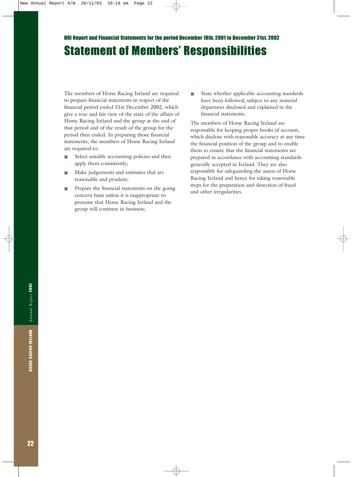Statement of Members' Responsibilities HRI Report and Financial Statements for the period December 18th, 2001 to December 31st, 2002

The members of Horse Racing Ireland are required to prepare financial statements in respect of the financial period ended 31st December 2002, which give a true and fair view of the state of the affairs of Horse Racing Ireland and the group at the end of that period and of the result of the group for the period then ended. In preparing those financial statements, the members of Horse Racing Ireland are required to:

- Select suitable accounting policies and then apply them consistently;
- Make judgements and estimates that are reasonable and prudent;
- Prepare the financial statements on the going concern basis unless it is inappropriate to presume that Horse Racing Ireland and the group will continue in business;

State whether applicable accounting standards have been followed, subject to any material departures disclosed and explained in the financial statements.

The members of Horse Racing Ireland are responsible for keeping proper books of account, which disclose with reasonable accuracy at any time the financial position of the group and to enable them to ensure that the financial statements are prepared in accordance with accounting standards generally accepted in Ireland. They are also responsible for safeguarding the assets of Horse Racing Ireland and hence for taking reasonable steps for the preparation and detection of fraud and other irregularities.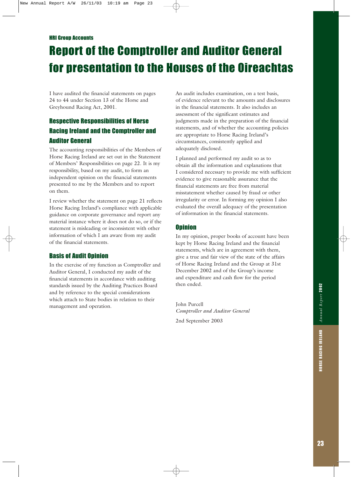#### HRI Group Accounts

## Report of the Comptroller and Auditor General for presentation to the Houses of the Oireachtas

I have audited the financial statements on pages 24 to 44 under Section 13 of the Horse and Greyhound Racing Act, 2001.

## Respective Responsibilities of Horse Racing Ireland and the Comptroller and Auditor General

The accounting responsibilities of the Members of Horse Racing Ireland are set out in the Statement of Members' Responsibilities on page 22. It is my responsibility, based on my audit, to form an independent opinion on the financial statements presented to me by the Members and to report on them.

I review whether the statement on page 21 reflects Horse Racing Ireland's compliance with applicable guidance on corporate governance and report any material instance where it does not do so, or if the statement is misleading or inconsistent with other information of which I am aware from my audit of the financial statements.

#### Basis of Audit Opinion

In the exercise of my function as Comptroller and Auditor General, I conducted my audit of the financial statements in accordance with auditing standards issued by the Auditing Practices Board and by reference to the special considerations which attach to State bodies in relation to their management and operation.

An audit includes examination, on a test basis, of evidence relevant to the amounts and disclosures in the financial statements. It also includes an assessment of the significant estimates and judgments made in the preparation of the financial statements, and of whether the accounting policies are appropriate to Horse Racing Ireland's circumstances, consistently applied and adequately disclosed.

I planned and performed my audit so as to obtain all the information and explanations that I considered necessary to provide me with sufficient evidence to give reasonable assurance that the financial statements are free from material misstatement whether caused by fraud or other irregularity or error. In forming my opinion I also evaluated the overall adequacy of the presentation of information in the financial statements.

#### **Opinion**

In my opinion, proper books of account have been kept by Horse Racing Ireland and the financial statements, which are in agreement with them, give a true and fair view of the state of the affairs of Horse Racing Ireland and the Group at 31st December 2002 and of the Group's income and expenditure and cash flow for the period then ended.

John Purcell *Comptroller and Auditor General*

2nd September 2003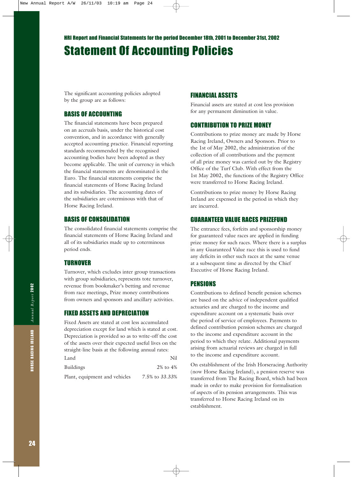Statement Of Accounting Policies HRI Report and Financial Statements for the period December 18th, 2001 to December 31st, 2002

The significant accounting policies adopted by the group are as follows:

### BASIS OF ACCOUNTING

The financial statements have been prepared on an accruals basis, under the historical cost convention, and in accordance with generally accepted accounting practice. Financial reporting standards recommended by the recognised accounting bodies have been adopted as they become applicable. The unit of currency in which the financial statements are denominated is the Euro. The financial statements comprise the financial statements of Horse Racing Ireland and its subsidiaries. The accounting dates of the subsidiaries are coterminous with that of Horse Racing Ireland.

#### BASIS OF CONSOLIDATION

The consolidated financial statements comprise the financial statements of Horse Racing Ireland and all of its subsidiaries made up to coterminous period ends.

#### TURNOVER

Turnover, which excludes inter group transactions with group subsidiaries, represents tote turnover, revenue from bookmaker's betting and revenue from race meetings, Prize money contributions from owners and sponsors and ancillary activities.

#### FIXED ASSETS AND DEPRECIATION

Fixed Assets are stated at cost less accumulated depreciation except for land which is stated at cost. Depreciation is provided so as to write-off the cost of the assets over their expected useful lives on the straight-line basis at the following annual rates:

| Land                          | Nil            |
|-------------------------------|----------------|
| Buildings                     | $2\%$ to $4\%$ |
| Plant, equipment and vehicles | 7.5% to 33.33% |

#### FINANCIAL ASSETS

Financial assets are stated at cost less provision for any permanent diminution in value.

#### CONTRIBUTION TO PRIZE MONEY

Contributions to prize money are made by Horse Racing Ireland, Owners and Sponsors. Prior to the 1st of May 2002, the administration of the collection of all contributions and the payment of all prize money was carried out by the Registry Office of the Turf Club. With effect from the 1st May 2002, the functions of the Registry Office were transferred to Horse Racing Ireland.

Contributions to prize money by Horse Racing Ireland are expensed in the period in which they are incurred.

#### GUARANTEED VALUE RACES PRIZEFUND

The entrance fees, forfeits and sponsorship money for guaranteed value races are applied in funding prize money for such races. Where there is a surplus in any Guaranteed Value race this is used to fund any deficits in other such races at the same venue at a subsequent time as directed by the Chief Executive of Horse Racing Ireland.

#### PENSIONS

Contributions to defined benefit pension schemes are based on the advice of independent qualified actuaries and are charged to the income and expenditure account on a systematic basis over the period of service of employees. Payments to defined contribution pension schemes are charged to the income and expenditure account in the period to which they relate. Additional payments arising from actuarial reviews are charged in full to the income and expenditure account.

On establishment of the Irish Horseracing Authority (now Horse Racing Ireland), a pension reserve was transferred from The Racing Board, which had been made in order to make provision for formalisation of aspects of its pension arrangements. This was transferred to Horse Racing Ireland on its establishment.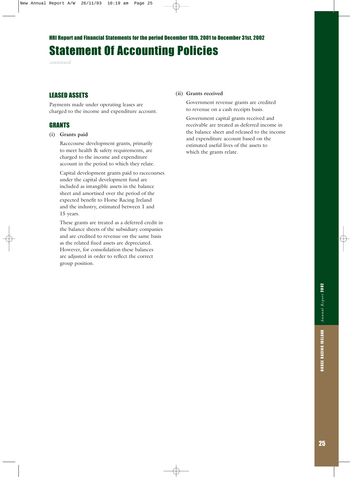## Statement Of Accounting Policies

*continued*

## LEASED ASSETS

Payments made under operating leases are charged to the income and expenditure account.

#### **GRANTS**

**(i) Grants paid**

Racecourse development grants, primarily to meet health & safety requirements, are charged to the income and expenditure account in the period to which they relate.

Capital development grants paid to racecourses under the capital development fund are included as intangible assets in the balance sheet and amortised over the period of the expected benefit to Horse Racing Ireland and the industry, estimated between 1 and 15 years.

These grants are treated as a deferred credit in the balance sheets of the subsidiary companies and are credited to revenue on the same basis as the related fixed assets are depreciated. However, for consolidation these balances are adjusted in order to reflect the correct group position.

#### **(ii) Grants received**

Government revenue grants are credited to revenue on a cash receipts basis.

Government capital grants received and receivable are treated as deferred income in the balance sheet and released to the income and expenditure account based on the estimated useful lives of the assets to which the grants relate.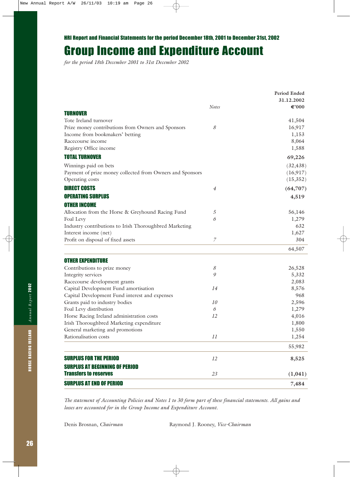## Group Income and Expenditure Account

*for the period 18th December 2001 to 31st December 2002*

|                                                           |              | Period Ended        |
|-----------------------------------------------------------|--------------|---------------------|
|                                                           | <b>Notes</b> | 31.12.2002<br>€'000 |
| <b>TURNOVER</b>                                           |              |                     |
| Tote Ireland turnover                                     |              | 41,504              |
| Prize money contributions from Owners and Sponsors        | 8            | 16,917              |
| Income from bookmakers' betting                           |              | 1,153               |
| Racecourse income                                         |              | 8,064               |
| Registry Office income                                    |              | 1,588               |
| <b>TOTAL TURNOVER</b>                                     |              | 69,226              |
| Winnings paid on bets                                     |              | (32, 438)           |
| Payment of prize money collected from Owners and Sponsors |              | (16,917)            |
| Operating costs                                           |              | (15, 352)           |
| <b>DIRECT COSTS</b>                                       | 4            | (64,707)            |
| <b>OPERATING SURPLUS</b>                                  |              | 4,519               |
| <b>OTHER INCOME</b>                                       |              |                     |
| Allocation from the Horse & Greyhound Racing Fund         | 5            | 56,146              |
| Foal Levy                                                 | 6            | 1,279               |
| Industry contributions to Irish Thoroughbred Marketing    |              | 632                 |
| Interest income (net)                                     |              | 1,627               |
| Profit on disposal of fixed assets                        | 7            | 304                 |
|                                                           |              | 64,507              |
| <b>OTHER EXPENDITURE</b>                                  |              |                     |
| Contributions to prize money                              | $\mathcal S$ | 26,528              |
| Integrity services                                        | 9            | 5,332               |
| Racecourse development grants                             |              | 2,083               |
| Capital Development Fund amortisation                     | 14           | 8,576               |
| Capital Development Fund interest and expenses            |              | 968                 |
| Grants paid to industry bodies                            | 10           | 2,596               |
| Foal Levy distribution                                    | 6            | 1,279               |
| Horse Racing Ireland administration costs                 | 12           | 4,016               |
| Irish Thoroughbred Marketing expenditure                  |              | 1,800               |
| General marketing and promotions                          |              | 1,550               |
| Rationalisation costs                                     | 11           | 1,254               |
|                                                           |              | 55,982              |
| <b>SURPLUS FOR THE PERIOD</b>                             | 12           | 8,525               |
| <b>SURPLUS AT BEGINNING OF PERIOD</b>                     |              |                     |
| <b>Transfers to reserves</b>                              | 23           | (1,041)             |
| <b>SURPLUS AT END OF PERIOD</b>                           |              | 7,484               |

*The statement of Accounting Policies and Notes 1 to 30 form part of these financial statements. All gains and losses are accounted for in the Group Income and Expenditure Account.*

Denis Brosnan, *Chairman* Raymond J. Rooney, *Vice-Chairman*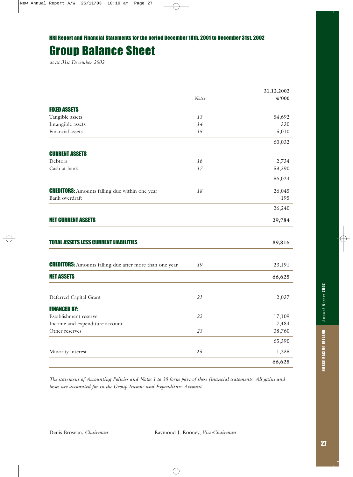## Group Balance Sheet

*as at 31st December 2002*

|                                                                |              | 31.12.2002 |
|----------------------------------------------------------------|--------------|------------|
|                                                                | <b>Notes</b> | €'000      |
| <b>FIXED ASSETS</b>                                            |              |            |
| Tangible assets                                                | 13           | 54,692     |
| Intangible assets                                              | 14           | 330        |
| Financial assets                                               | 15           | 5,010      |
|                                                                |              | 60,032     |
| <b>CURRENT ASSETS</b>                                          |              |            |
| Debtors                                                        | 16           | 2,734      |
| Cash at bank                                                   | $17\,$       | 53,290     |
|                                                                |              | 56,024     |
| <b>CREDITORS:</b> Amounts falling due within one year          | $18\,$       | 26,045     |
| Bank overdraft                                                 |              | 195        |
|                                                                |              | 26,240     |
| <b>NET CURRENT ASSETS</b>                                      |              | 29,784     |
|                                                                |              |            |
| <b>TOTAL ASSETS LESS CURRENT LIABILITIES</b>                   |              | 89,816     |
|                                                                |              |            |
| <b>CREDITORS:</b> Amounts falling due after more than one year | 19           | 23,191     |
| <b>NET ASSETS</b>                                              |              | 66,625     |
|                                                                |              |            |
| Deferred Capital Grant                                         | 21           | 2,037      |
| <b>FINANCED BY:</b>                                            |              |            |
| Establishment reserve                                          | 22           | 17,109     |
| Income and expenditure account                                 |              | 7,484      |
| Other reserves                                                 | $23\,$       | 38,760     |
|                                                                |              | 65,390     |
| Minority interest                                              | $25\,$       | 1,235      |
|                                                                |              | 66,625     |

*The statement of Accounting Policies and Notes 1 to 30 form part of these financial statements. All gains and losses are accounted for in the Group Income and Expenditure Account.*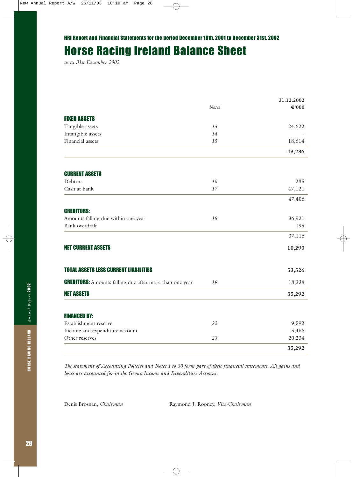## Horse Racing Ireland Balance Sheet

*as at 31st December 2002*

|                                                                |              | 31.12.2002 |
|----------------------------------------------------------------|--------------|------------|
|                                                                | <b>Notes</b> | €'000      |
| <b>FIXED ASSETS</b>                                            |              |            |
| Tangible assets                                                | 13           | 24,622     |
| Intangible assets                                              | 14           |            |
| Financial assets                                               | 15           | 18,614     |
|                                                                |              | 43,236     |
| <b>CURRENT ASSETS</b>                                          |              |            |
| Debtors                                                        | 16           | 285        |
| Cash at bank                                                   | 17           | 47,121     |
|                                                                |              | 47,406     |
| <b>CREDITORS:</b>                                              |              |            |
| Amounts falling due within one year                            | 18           | 36,921     |
| Bank overdraft                                                 |              | 195        |
|                                                                |              | 37,116     |
| <b>NET CURRENT ASSETS</b>                                      |              | 10,290     |
| <b>TOTAL ASSETS LESS CURRENT LIABILITIES</b>                   |              | 53,526     |
| <b>CREDITORS:</b> Amounts falling due after more than one year | 19           | 18,234     |
| <b>NET ASSETS</b>                                              |              | 35,292     |
| <b>FINANCED BY:</b>                                            |              |            |
| Establishment reserve                                          | 22           | 9,592      |
| Income and expenditure account                                 |              | 5,466      |
| Other reserves                                                 | 23           | 20,234     |
|                                                                |              | 35,292     |

*The statement of Accounting Policies and Notes 1 to 30 form part of these financial statements. All gains and losses are accounted for in the Group Income and Expenditure Account.*

Denis Brosnan, *Chairman* Raymond J. Rooney, *Vice-Chairman*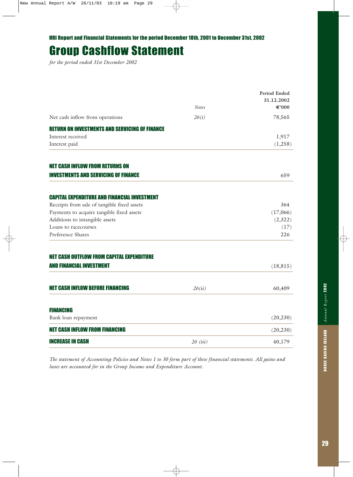## Group Cashflow Statement

*for the period ended 31st December 2002*

|                                                       |              | Period Ended<br>31.12.2002 |
|-------------------------------------------------------|--------------|----------------------------|
|                                                       | <b>Notes</b> | $\epsilon$ '000            |
| Net cash inflow from operations                       | 26(i)        | 78,565                     |
| <b>RETURN ON INVESTMENTS AND SERVICING OF FINANCE</b> |              |                            |
| Interest received                                     |              | 1,917                      |
| Interest paid                                         |              | (1,258)                    |
| <b>NET CASH INFLOW FROM RETURNS ON</b>                |              |                            |
| NVESTMENTS AND SERVICING OF FINANCE                   |              | 659                        |
| <b>CAPITAL EXPENDITURE AND FINANCIAL INVESTMENT</b>   |              |                            |
| Receipts from sale of tangible fixed assets           |              | 364                        |
| Payments to acquire tangible fixed assets             |              | (17,066)                   |
| Additions to intangible assets                        |              | (2,322)                    |
| Loans to racecourses                                  |              | (17)                       |
| Preference Shares                                     |              | 226                        |
| <b>NET CASH OUTFLOW FROM CAPITAL EXPENDITURE</b>      |              |                            |
| <b>AND FINANCIAL INVESTMENT</b>                       |              | (18, 815)                  |
| <b>NET CASH INFLOW BEFORE FINANCING</b>               | 26(ii)       | 60,409                     |
| <b>FINANCING</b>                                      |              |                            |
| Bank loan repayment                                   |              | (20, 230)                  |
| <b>NET CASH INFLOW FROM FINANCING</b>                 |              | (20, 230)                  |
| <b>INCREASE IN CASH</b>                               | 26(iii)      | 40,179                     |

*The statement of Accounting Policies and Notes 1 to 30 form part of these financial statements. All gains and losses are accounted for in the Group Income and Expenditure Account.*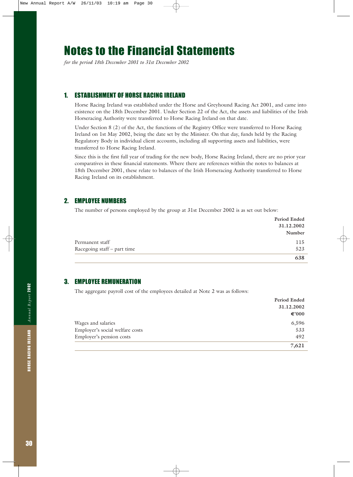## Notes to the Financial Statements

*for the period 18th December 2001 to 31st December 2002* 

### 1. ESTABLISHMENT OF HORSE RACING IRELAND

Horse Racing Ireland was established under the Horse and Greyhound Racing Act 2001, and came into existence on the 18th December 2001. Under Section 22 of the Act, the assets and liabilities of the Irish Horseracing Authority were transferred to Horse Racing Ireland on that date.

Under Section 8 (2) of the Act, the functions of the Registry Office were transferred to Horse Racing Ireland on 1st May 2002, being the date set by the Minister. On that day, funds held by the Racing Regulatory Body in individual client accounts, including all supporting assets and liabilities, were transferred to Horse Racing Ireland.

Since this is the first full year of trading for the new body, Horse Racing Ireland, there are no prior year comparatives in these financial statements. Where there are references within the notes to balances at 18th December 2001, these relate to balances of the Irish Horseracing Authority transferred to Horse Racing Ireland on its establishment.

### 2. EMPLOYEE NUMBERS

The number of persons employed by the group at 31st December 2002 is as set out below:

|                             | Period Ended |
|-----------------------------|--------------|
|                             | 31.12.2002   |
|                             | Number       |
| Permanent staff             | 115          |
| Racegoing staff – part time | 523          |
|                             | 638          |

### 3. EMPLOYEE REMUNERATION

The aggregate payroll cost of the employees detailed at Note 2 was as follows:

|                                 | Period Ended |
|---------------------------------|--------------|
|                                 | 31.12.2002   |
|                                 | €'000        |
| Wages and salaries              | 6,596        |
| Employer's social welfare costs | 533          |
| Employer's pension costs        | 492          |
|                                 | 7,621        |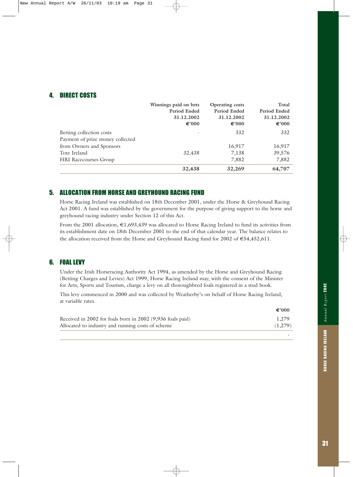#### 4. DIRECT COSTS

|                                  | Winnings paid on bets<br>Period Ended<br>31.12.2002<br>€'000 | <b>Operating costs</b><br><b>Period Ended</b><br>31.12.2002<br>€'000 | Total<br>Period Ended<br>31.12.2002<br>€'000 |
|----------------------------------|--------------------------------------------------------------|----------------------------------------------------------------------|----------------------------------------------|
| Betting collection costs         |                                                              | 332                                                                  | 332                                          |
| Payment of prize money collected |                                                              |                                                                      |                                              |
| from Owners and Sponsors         |                                                              | 16,917                                                               | 16,917                                       |
| Tote Ireland                     | 32,438                                                       | 7,138                                                                | 39,576                                       |
| <b>HRI Racecourses Group</b>     |                                                              | 7,882                                                                | 7,882                                        |
|                                  | 32,438                                                       | 32,269                                                               | 64,707                                       |

### 5. ALLOCATION FROM HORSE AND GREYHOUND RACING FUND

Horse Racing Ireland was established on 18th December 2001, under the Horse & Greyhound Racing Act 2001. A fund was established by the government for the purpose of giving support to the horse and greyhound racing industry under Section 12 of this Act.

From the 2001 allocation, €1,693,439 was allocated to Horse Racing Ireland to fund its activities from its establishment date on 18th December 2001 to the end of that calendar year. The balance relates to the allocation received from the Horse and Greyhound Racing fund for 2002 of €54,452,611.

#### 6. FOAL LEVY

Under the Irish Horseracing Authority Act 1994, as amended by the Horse and Greyhound Racing (Betting Charges and Levies) Act 1999, Horse Racing Ireland may, with the consent of the Minister for Arts, Sports and Tourism, charge a levy on all thoroughbred foals registered in a stud book.

This levy commenced in 2000 and was collected by Weatherby's on behalf of Horse Racing Ireland, at variable rates.

|                                                            | $\epsilon$ '000 |
|------------------------------------------------------------|-----------------|
| Received in 2002 for foals born in 2002 (9,936 foals paid) | 1,279           |
| Allocated to industry and running costs of scheme          | (1,279)         |

**-**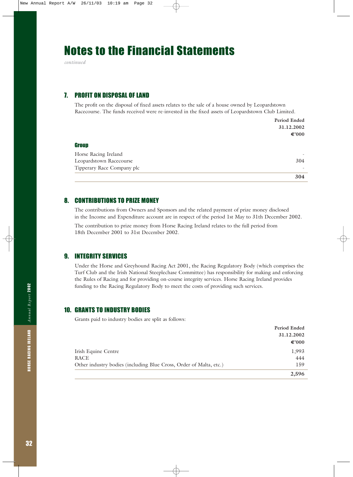## Notes to the Financial Statements

*continued*

### 7. PROFIT ON DISPOSAL OF LAND

The profit on the disposal of fixed assets relates to the sale of a house owned by Leopardstown Racecourse. The funds received were re-invested in the fixed assets of Leopardstown Club Limited.

|                            | Period Ended |
|----------------------------|--------------|
|                            | 31.12.2002   |
|                            | €'000        |
| Group                      |              |
| Horse Racing Ireland       |              |
| Leopardstown Racecourse    | 304          |
| Tipperary Race Company plc |              |
|                            | 304          |

#### 8. CONTRIBUTIONS TO PRIZE MONEY

The contributions from Owners and Sponsors and the related payment of prize money disclosed in the Income and Expenditure account are in respect of the period 1st May to 31th December 2002.

The contribution to prize money from Horse Racing Ireland relates to the full period from 18th December 2001 to 31st December 2002.

#### 9. INTEGRITY SERVICES

Under the Horse and Greyhound Racing Act 2001, the Racing Regulatory Body (which comprises the Turf Club and the Irish National Steeplechase Committee) has responsibility for making and enforcing the Rules of Racing and for providing on-course integrity services. Horse Racing Ireland provides funding to the Racing Regulatory Body to meet the costs of providing such services.

#### 10. GRANTS TO INDUSTRY BODIES

Grants paid to industry bodies are split as follows:

|                                                                    | Period Ended |
|--------------------------------------------------------------------|--------------|
|                                                                    | 31.12.2002   |
|                                                                    | €'000        |
| Irish Equine Centre                                                | 1,993        |
| RACE                                                               | 444          |
| Other industry bodies (including Blue Cross, Order of Malta, etc.) | 159          |
|                                                                    | 2,596        |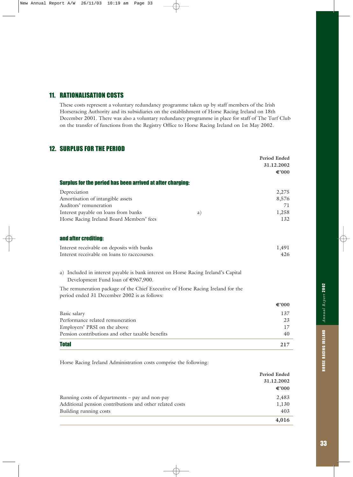## 11. RATIONALISATION COSTS

These costs represent a voluntary redundancy programme taken up by staff members of the Irish Horseracing Authority and its subsidiaries on the establishment of Horse Racing Ireland on 18th December 2001. There was also a voluntary redundancy programme in place for staff of The Turf Club on the transfer of functions from the Registry Office to Horse Racing Ireland on 1st May 2002.

## 12. SURPLUS FOR THE PERIOD

|                                                                                                                                 | Period Ended    |
|---------------------------------------------------------------------------------------------------------------------------------|-----------------|
|                                                                                                                                 | 31.12.2002      |
|                                                                                                                                 | €'000           |
| <b>Surplus for the period has been arrived at after charging:</b>                                                               |                 |
| Depreciation                                                                                                                    | 2,275           |
| Amortisation of intangible assets                                                                                               | 8,576           |
| Auditors' remuneration                                                                                                          | 71              |
| Interest payable on loans from banks<br>a)                                                                                      | 1,258           |
| Horse Racing Ireland Board Members' fees                                                                                        | 132             |
|                                                                                                                                 |                 |
| and after crediting:                                                                                                            |                 |
| Interest receivable on deposits with banks                                                                                      | 1,491           |
| Interest receivable on loans to racecourses                                                                                     | 426             |
|                                                                                                                                 |                 |
| a) Included in interest payable is bank interest on Horse Racing Ireland's Capital                                              |                 |
| Development Fund loan of €967,900.                                                                                              |                 |
| The remuneration package of the Chief Executive of Horse Racing Ireland for the<br>period ended 31 December 2002 is as follows: |                 |
|                                                                                                                                 | $\epsilon$ '000 |
|                                                                                                                                 |                 |
| Basic salary                                                                                                                    | 137             |
| Performance related remuneration                                                                                                | 23              |
| Employers' PRSI on the above                                                                                                    | 17              |
| Pension contributions and other taxable benefits                                                                                | 40              |
| <b>Total</b>                                                                                                                    | 217             |

Horse Racing Ireland Administration costs comprise the following:

|                                                                                    | <b>Period Ended</b><br>31.12.2002<br>€'000 |
|------------------------------------------------------------------------------------|--------------------------------------------|
| Running costs of departments – pay and non-pay                                     | 2,483                                      |
| Additional pension contributions and other related costs<br>Building running costs | 1,130<br>403                               |
|                                                                                    | 4,016                                      |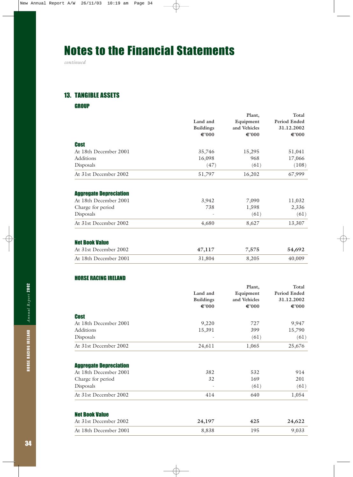## Notes to the Financial Statements

 $\oplus$ 

*continued*

## 13. TANGIBLE ASSETS

**GROUP** 

|                               |                  | Plant,       | Total                                      |
|-------------------------------|------------------|--------------|--------------------------------------------|
|                               | Land and         | Equipment    | <b>Period Ended</b><br>31.12.2002<br>€'000 |
|                               | <b>Buildings</b> | and Vehicles |                                            |
|                               | €'000            | €'000        |                                            |
| <b>Cost</b>                   |                  |              |                                            |
| At 18th December 2001         | 35,746           | 15,295       | 51,041                                     |
| Additions                     | 16,098           | 968          | 17,066                                     |
| Disposals                     | (47)             | (61)         | (108)                                      |
| At 31st December 2002         | 51,797           | 16,202       | 67,999                                     |
| <b>Aggregate Depreciation</b> |                  |              |                                            |
| At 18th December 2001         | 3,942            | 7,090        | 11,032                                     |
| Charge for period             | 738              | 1,598        | 2,336                                      |
| Disposals                     |                  | (61)         | (61)                                       |
| At 31st December 2002         | 4,680            | 8,627        | 13,307                                     |
| <b>Net Book Value</b>         |                  |              |                                            |
| At 31st December 2002         | 47,117           | 7,575        | 54,692                                     |
| At 18th December 2001         | 31,804           | 8,205        | 40,009                                     |
|                               |                  |              |                                            |

### HORSE RACING IRELAND

|                               |                  | Plant,       | Total        |
|-------------------------------|------------------|--------------|--------------|
|                               | Land and         | Equipment    | Period Ended |
|                               | <b>Buildings</b> | and Vehicles | 31.12.2002   |
|                               | €'000            | €'000        | €'000        |
| Cost                          |                  |              |              |
| At 18th December 2001         | 9,220            | 727          | 9,947        |
| Additions                     | 15,391           | 399          | 15,790       |
| Disposals                     |                  | (61)         | (61)         |
| At 31st December 2002         | 24,611           | 1,065        | 25,676       |
| <b>Aggregate Depreciation</b> |                  |              |              |
| At 18th December 2001         | 382              | 532          | 914          |
| Charge for period             | 32               | 169          | 201          |
| Disposals                     |                  | (61)         | (61)         |
| At 31st December 2002         | 414              | 640          | 1,054        |
| <b>Net Book Value</b>         |                  |              |              |
| At 31st December 2002         | 24,197           | 425          | 24,622       |
| At 18th December 2001         | 8,838            | 195          | 9,033        |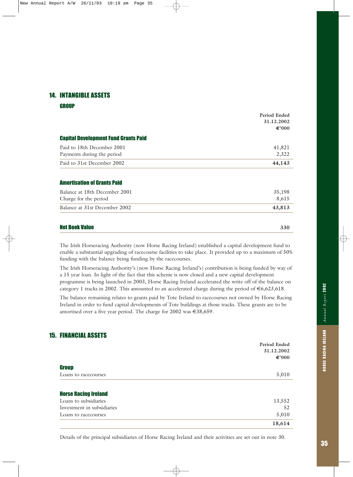## 14. INTANGIBLE ASSETS

| <b>GROUP</b>                                |              |
|---------------------------------------------|--------------|
|                                             | Period Ended |
|                                             | 31.12.2002   |
|                                             | €'000        |
| <b>Capital Development Fund Grants Paid</b> |              |
| Paid to 18th December 2001                  | 41,821       |
| Payments during the period                  | 2,322        |
| Paid to 31st December 2002                  | 44,143       |
| <b>Amortisation of Grants Paid</b>          |              |
| Balance at 18th December 2001               | 35,198       |
| Charge for the period                       | 8,615        |
| Balance at 31st December 2002               | 43,813       |

#### Net Book Value **330**

The Irish Horseracing Authority (now Horse Racing Ireland) established a capital development fund to enable a substantial upgrading of racecourse facilities to take place. It provided up to a maximum of 50% funding with the balance being funding by the racecourses.

The Irish Horseracing Authority's (now Horse Racing Ireland's) contribution is being funded by way of a 15 year loan. In light of the fact that this scheme is now closed and a new capital development programme is being launched in 2003, Horse Racing Ireland accelerated the write off of the balance on category 1 tracks in 2002. This amounted to an accelerated charge during the period of  $\epsilon$ 6,623,618.

The balance remaining relates to grants paid by Tote Ireland to racecourses not owned by Horse Racing Ireland in order to fund capital developments of Tote buildings at those tracks. These grants are to be amortised over a five year period. The charge for 2002 was €38,659.

### 15. FINANCIAL ASSETS

|                             | <b>Period Ended</b><br>31.12.2002<br>€'000 |
|-----------------------------|--------------------------------------------|
|                             |                                            |
| <b>Group</b>                |                                            |
| Loans to racecourses        | 5,010                                      |
| <b>Horse Racing Ireland</b> |                                            |
| Loans to subsidiaries       | 13,552                                     |
| Investment in subsidiaries  | 52                                         |
| Loans to racecourses        | 5,010                                      |
|                             | 18,614                                     |

Details of the principal subsidiaries of Horse Racing Ireland and their activities are set out in note 30.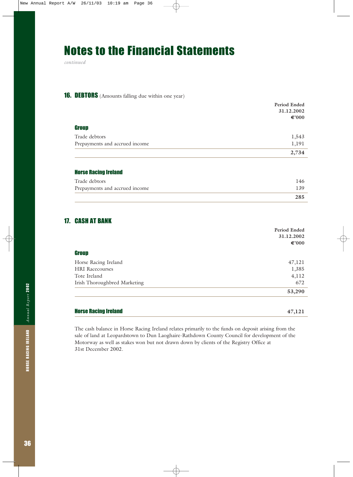## Notes to the Financial Statements

*continued*

### **16. DEBTORS** (Amounts falling due within one year)

|                                | <b>Period Ended</b><br>31.12.2002<br>€'000 |
|--------------------------------|--------------------------------------------|
| Group                          |                                            |
| Trade debtors                  | 1,543                                      |
| Prepayments and accrued income | 1,191                                      |
|                                | 2,734                                      |

#### Horse Racing Ireland

| 285  |
|------|
| 139  |
| 146. |
|      |

## 17. CASH AT BANK

|                              | <b>Period Ended</b> |
|------------------------------|---------------------|
|                              | 31.12.2002          |
|                              | €'000               |
| Group                        |                     |
| Horse Racing Ireland         | 47,121              |
| <b>HRI</b> Racecourses       | 1,385               |
| Tote Ireland                 | 4,112               |
| Irish Thoroughbred Marketing | 672                 |
|                              | 53,290              |
|                              |                     |
| <b>Horse Racing Ireland</b>  | 47,121              |

The cash balance in Horse Racing Ireland relates primarily to the funds on deposit arising from the sale of land at Leopardstown to Dun Laoghaire-Rathdown County Council for development of the Motorway as well as stakes won but not drawn down by clients of the Registry Office at 31st December 2002.

*Annual Report* 2002

HORSE RACING IRELAND

**HORSE RACING IRELAND** Annual Report 2002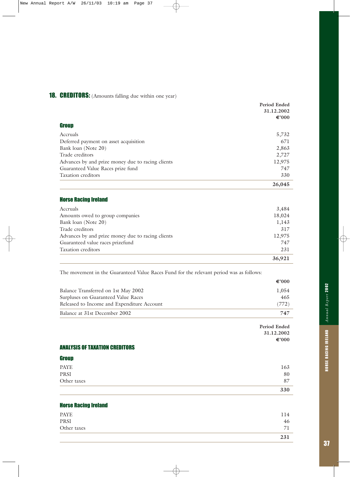## **18. CREDITORS:** (Amounts falling due within one year)

| <b>Period Ended</b> |
|---------------------|
| 31.12.2002          |
| €'000               |
|                     |
| 5,732               |
| 671                 |
| 2,863               |
| 2,727               |
| 12,975              |
| 747                 |
| 330                 |
| 26,045              |
|                     |

 $\oplus$ 

### Horse Racing Ireland

| Accruals                                          | 3,484  |
|---------------------------------------------------|--------|
| Amounts owed to group companies                   | 18,024 |
| Bank loan (Note 20)                               | 1,143  |
| Trade creditors                                   | 317    |
| Advances by and prize money due to racing clients | 12,975 |
| Guaranteed value races prizefund                  | 747    |
| <b>Taxation creditors</b>                         | 231    |
|                                                   | 36,921 |

The movement in the Guaranteed Value Races Fund for the relevant period was as follows:

|                                            | $\epsilon$ '000 |
|--------------------------------------------|-----------------|
| Balance Transferred on 1st May 2002        | 1.054           |
| Surpluses on Guaranteed Value Races        | 465             |
| Released to Income and Expenditure Account | (772)           |
| Balance at 31st December 2002              | 747             |

| <b>Period Ended</b> |  |
|---------------------|--|
| 31.12.2002          |  |
| $\epsilon$ '000     |  |
|                     |  |

### ANALYSIS OF TAXATION CREDITORS

### **Group**

|             | 330 |
|-------------|-----|
| Other taxes | 87  |
| PRSI        | 80  |
| <b>PAYE</b> | 163 |
|             |     |

## Horse Racing Ireland

| PAYE        | 114 |
|-------------|-----|
| PRSI        | 46  |
| Other taxes |     |
|             | 231 |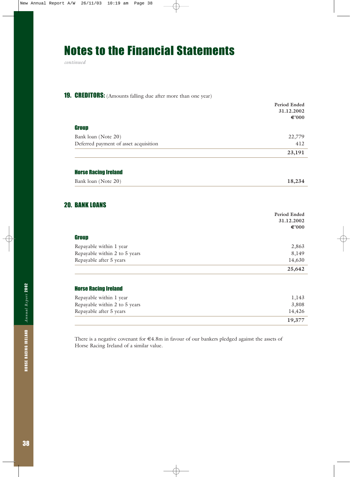Notes to the Financial Statements

*continued*

## **19. CREDITORS:** (Amounts falling due after more than one year)

|                                       | <b>Period Ended</b><br>31.12.2002<br>€'000 |
|---------------------------------------|--------------------------------------------|
| Group                                 |                                            |
| Bank loan (Note 20)                   | 22,779                                     |
| Deferred payment of asset acquisition | 412                                        |
|                                       | 23,191                                     |

#### Horse Racing Ireland

|  | Bank loan (Note 20) | 18,234 |
|--|---------------------|--------|
|--|---------------------|--------|

## 20. BANK LOANS

|                               | <b>Period Ended</b> |
|-------------------------------|---------------------|
|                               | 31.12.2002          |
|                               | €'000               |
| <b>Group</b>                  |                     |
| Repayable within 1 year       | 2,863               |
| Repayable within 2 to 5 years | 8,149               |
| Repayable after 5 years       | 14,630              |
|                               | 25,642              |
|                               |                     |
| <b>Horse Racing Ireland</b>   |                     |

| Repayable within 1 year       | 1.143  |
|-------------------------------|--------|
| Repayable within 2 to 5 years | 3,808  |
| Repayable after 5 years       | 14.426 |
|                               | 19,377 |

There is a negative covenant for €4.8m in favour of our bankers pledged against the assets of Horse Racing Ireland of a similar value.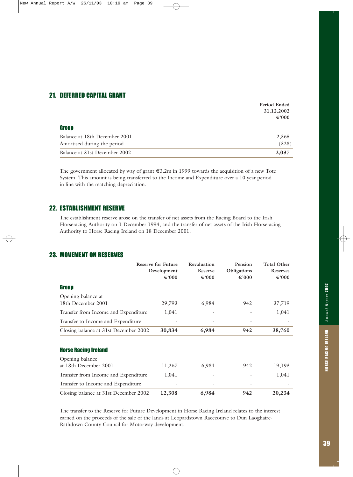## 21. DEFERRED CAPITAL GRANT

|                               | Period Ended |
|-------------------------------|--------------|
|                               | 31.12.2002   |
|                               | €'000        |
| Group                         |              |
| Balance at 18th December 2001 | 2,365        |
| Amortised during the period   | (328)        |
| Balance at 31st December 2002 | 2,037        |

The government allocated by way of grant €3.2m in 1999 towards the acquisition of a new Tote System. This amount is being transferred to the Income and Expenditure over a 10 year period in line with the matching depreciation.

#### 22. ESTABLISHMENT RESERVE

The establishment reserve arose on the transfer of net assets from the Racing Board to the Irish Horseracing Authority on 1 December 1994, and the transfer of net assets of the Irish Horseracing Authority to Horse Racing Ireland on 18 December 2001.

### 23. MOVEMENT ON RESERVES

|                                          | <b>Reserve for Future</b><br>Development<br>€'000 | Revaluation<br>Reserve<br>€'000 | Pension<br><b>Obligations</b><br>€'000 | <b>Total Other</b><br>Reserves<br>€'000 |
|------------------------------------------|---------------------------------------------------|---------------------------------|----------------------------------------|-----------------------------------------|
| Group                                    |                                                   |                                 |                                        |                                         |
| Opening balance at<br>18th December 2001 | 29,793                                            | 6,984                           | 942                                    | 37,719                                  |
| Transfer from Income and Expenditure     | 1,041                                             |                                 |                                        | 1,041                                   |
| Transfer to Income and Expenditure       |                                                   |                                 |                                        |                                         |
| Closing balance at 31st December 2002    | 30,834                                            | 6,984                           | 942                                    | 38,760                                  |
| <b>Horse Racing Ireland</b>              |                                                   |                                 |                                        |                                         |
| Opening balance<br>at 18th December 2001 | 11,267                                            | 6,984                           | 942                                    | 19,193                                  |
| Transfer from Income and Expenditure     | 1,041                                             |                                 |                                        | 1,041                                   |
| Transfer to Income and Expenditure       |                                                   |                                 |                                        |                                         |
| Closing balance at 31st December 2002    | 12,308                                            | 6,984                           | 942                                    | 20,234                                  |

The transfer to the Reserve for Future Development in Horse Racing Ireland relates to the interest earned on the proceeds of the sale of the lands at Leopardstown Racecourse to Dun Laoghaire-Rathdown County Council for Motorway development.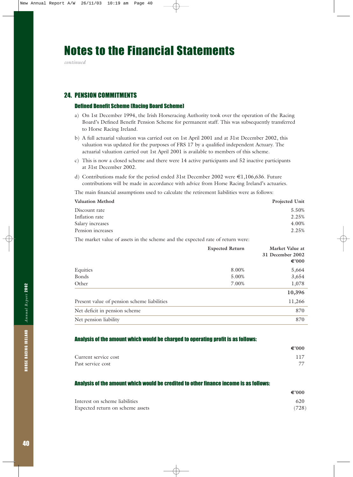## Notes to the Financial Statements

*continued*

### 24. PENSION COMMITMENTS

#### Defined Benefit Scheme (Racing Board Scheme)

- a) On 1st December 1994, the Irish Horseracing Authority took over the operation of the Racing Board's Defined Benefit Pension Scheme for permanent staff. This was subsequently transferred to Horse Racing Ireland.
- b) A full actuarial valuation was carried out on 1st April 2001 and at 31st December 2002, this valuation was updated for the purposes of FRS 17 by a qualified independent Actuary. The actuarial valuation carried out 1st April 2001 is available to members of this scheme.
- c) This is now a closed scheme and there were 14 active participants and 52 inactive participants at 31st December 2002.
- d) Contributions made for the period ended 31st December 2002 were €1,106,636. Future contributions will be made in accordance with advice from Horse Racing Ireland's actuaries.

The main financial assumptions used to calculate the retirement liabilities were as follows:

| <b>Valuation Method</b>                                                        |                        | Projected Unit   |
|--------------------------------------------------------------------------------|------------------------|------------------|
| Discount rate                                                                  |                        | 5.50%            |
| Inflation rate                                                                 |                        | 2.25%            |
| Salary increases                                                               |                        | 4.00%            |
| Pension increases                                                              |                        | 2.25%            |
| The market value of assets in the scheme and the expected rate of return were: |                        |                  |
|                                                                                | <b>Expected Return</b> | Market Value at  |
|                                                                                |                        | 31 December 2002 |
|                                                                                |                        | $\epsilon$ 000   |

|                                             |       | €'000  |
|---------------------------------------------|-------|--------|
| Equities                                    | 8.00% | 5,664  |
| Bonds                                       | 5.00% | 3,654  |
| Other                                       | 7.00% | 1,078  |
|                                             |       | 10,396 |
| Present value of pension scheme liabilities |       | 11,266 |
| Net deficit in pension scheme               |       | 870    |
| Net pension liability                       |       | 870    |
|                                             |       |        |

#### Analysis of the amount which would be charged to operating profit is as follows:

|                      | €'000 |
|----------------------|-------|
| Current service cost | 117   |
| Past service cost    | 77    |

#### Analysis of the amount which would be credited to other finance income is as follows:

|                                  | $\epsilon$ '000 |
|----------------------------------|-----------------|
| Interest on scheme liabilities   | 620             |
| Expected return on scheme assets | (728)           |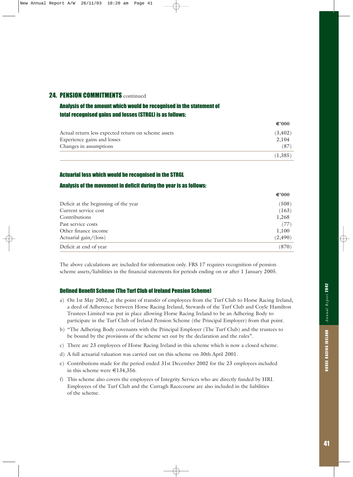## 24. PENSION COMMITMENTS continued

## Analysis of the amount which would be recognised in the statement of total recognised gains and losses (STRGL) is as follows:

|                                                     | $\epsilon$ '000 |
|-----------------------------------------------------|-----------------|
| Actual return less expected return on scheme assets | (3,402)         |
| Experience gains and losses                         | 2.104           |
| Changes in assumptions                              | (87)            |
|                                                     | (1,385)         |

#### Actuarial loss which would be recognised in the STRGL

#### Analysis of the movement in deficit during the year is as follows:

|                                      | €'000    |
|--------------------------------------|----------|
| Deficit at the beginning of the year | (508)    |
| Current service cost                 | (163)    |
| Contributions                        | 1,268    |
| Past service costs                   | (77)     |
| Other finance income                 | 1,100    |
| Actuarial gain/(loss)                | (2, 490) |
| Deficit at end of year               | (870)    |

The above calculations are included for information only. FRS 17 requires recognition of pension scheme assets/liabilities in the financial statements for periods ending on or after 1 January 2005.

#### Defined Benefit Scheme (The Turf Club of Ireland Pension Scheme)

- a) On 1st May 2002, at the point of transfer of employees from the Turf Club to Horse Racing Ireland, a deed of Adherence between Horse Racing Ireland, Stewards of the Turf Club and Coyle Hamilton Trustees Limited was put in place allowing Horse Racing Ireland to be an Adhering Body to participate in the Turf Club of Ireland Pension Scheme (the Principal Employer) from that point.
- b) "The Adhering Body covenants with the Principal Employer (The Turf Club) and the trustees to be bound by the provisions of the scheme set out by the declaration and the rules".
- c) There are 23 employees of Horse Racing Ireland in this scheme which is now a closed scheme.
- d) A full actuarial valuation was carried out on this scheme on 30th April 2001.
- e) Contributions made for the period ended 31st December 2002 for the 23 employees included in this scheme were €134,356.
- f) This scheme also covers the employees of Integrity Services who are directly funded by HRI. Employees of the Turf Club and the Curragh Racecourse are also included in the liabilities of the scheme.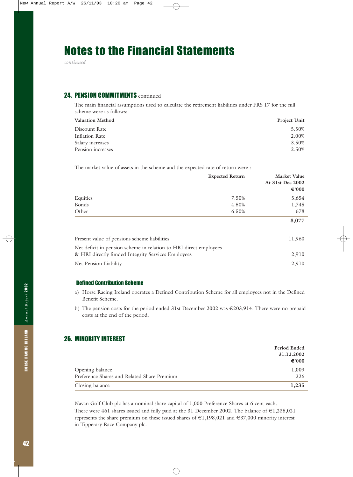## Notes to the Financial Statements

*continued*

## 24. PENSION COMMITMENTS continued

The main financial assumptions used to calculate the retirement liabilities under FRS 17 for the full scheme were as follows:

| <b>Valuation Method</b> | <b>Project Unit</b> |
|-------------------------|---------------------|
| Discount Rate           | 5.50%               |
| <b>Inflation Rate</b>   | 2.00%               |
| Salary increases        | 3.50%               |
| Pension increases       | 2.50%               |

The market value of assets in the scheme and the expected rate of return were :

|                                                                   | <b>Expected Return</b> | Market Value<br>At 31st Dec 2002 |
|-------------------------------------------------------------------|------------------------|----------------------------------|
|                                                                   | 7.50%                  | €'000                            |
| Equities<br>Bonds                                                 | 4.50%                  | 5,654<br>1,745                   |
| Other                                                             | 6.50%                  | 678                              |
|                                                                   |                        | 8,077                            |
| Present value of pensions scheme liabilities                      |                        | 11,960                           |
| Net deficit in pension scheme in relation to HRI direct employees |                        |                                  |

& HRI directly funded Integrity Services Employees 2,910

Net Pension Liability 2,910

#### Defined Contribution Scheme

- a) Horse Racing Ireland operates a Defined Contribution Scheme for all employees not in the Defined Benefit Scheme.
- b) The pension costs for the period ended 31st December 2002 was €203,914. There were no prepaid costs at the end of the period.

#### 25. MINORITY INTEREST

|                                             | Period Ended<br>31.12.2002 |
|---------------------------------------------|----------------------------|
|                                             | €'000                      |
| Opening balance                             | 1,009                      |
| Preference Shares and Related Share Premium | 226                        |
| Closing balance                             | 1,235                      |

Navan Golf Club plc has a nominal share capital of 1,000 Preference Shares at 6 cent each.

There were 461 shares issued and fully paid at the 31 December 2002. The balance of €1,235,021 represents the share premium on these issued shares of  $\in$ 1,198,021 and  $\in$ 37,000 minority interest in Tipperary Race Company plc.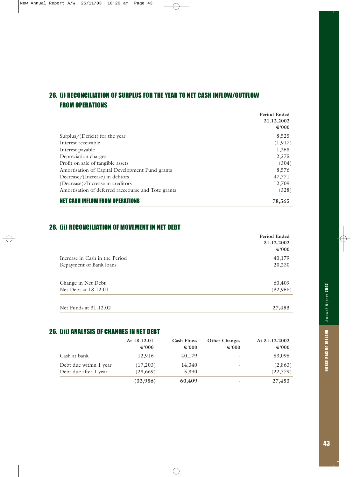## 26. (i) RECONCILIATION OF SURPLUS FOR THE YEAR TO NET CASH INFLOW/OUTFLOW FROM OPERATIONS

|                                                     | Period Ended |
|-----------------------------------------------------|--------------|
|                                                     | 31.12.2002   |
|                                                     | €'000        |
| Surplus/(Deficit) for the year                      | 8,525        |
| Interest receivable                                 | (1, 917)     |
| Interest payable                                    | 1,258        |
| Depreciation charges                                | 2,275        |
| Profit on sale of tangible assets                   | (304)        |
| Amortisation of Capital Development Fund grants     | 8,576        |
| Decrease/(Increase) in debtors                      | 47,771       |
| (Decrease)/Increase in creditors                    | 12,709       |
| Amortisation of deferred racecourse and Tote grants | (328)        |
| <b>NET CASH INFLOW FROM OPERATIONS</b>              | 78,565       |

 $\color{red} \bigoplus$ 

## 26. (ii) RECONCILIATION OF MOVEMENT IN NET DEBT

|                                | Period Ended |
|--------------------------------|--------------|
|                                | 31.12.2002   |
|                                | €'000        |
| Increase in Cash in the Period | 40,179       |
| Repayment of Bank loans        | 20,230       |
| Change in Net Debt             | 60,409       |
| Net Debt at 18.12.01           | (32,956)     |
| Net Funds at 31.12.02          | 27,453       |

## 26. (iii) ANALYSIS OF CHANGES IN NET DEBT

|                        | At 18.12.01<br>$\epsilon$ '000 | <b>Cash Flows</b><br>€'000 | <b>Other Changes</b><br>€'000 | At 31.12.2002<br>€'000 |
|------------------------|--------------------------------|----------------------------|-------------------------------|------------------------|
| Cash at bank           | 12,916                         | 40,179                     |                               | 53,095                 |
| Debt due within 1 year | (17,203)                       | 14,340                     | $\overline{\phantom{0}}$      | (2, 863)               |
| Debt due after 1 year  | (28, 669)                      | 5,890                      |                               | (22,779)               |
|                        | (32,956)                       | 60,409                     | ۰                             | 27,453                 |